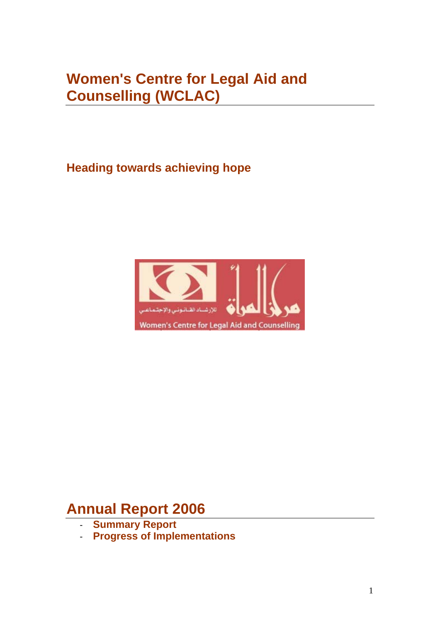# **Women's Centre for Legal Aid and Counselling (WCLAC)**

**Heading towards achieving hope** 



# **Annual Report 2006**

- **Summary Report**
- **Progress of Implementations**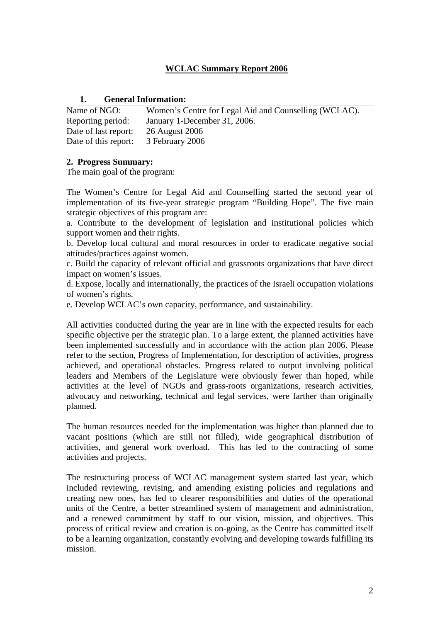# **WCLAC Summary Report 2006**

# **1. General Information:**

| Name of NGO:         | Women's Centre for Legal Aid and Counselling (WCLAC). |
|----------------------|-------------------------------------------------------|
| Reporting period:    | January 1-December 31, 2006.                          |
| Date of last report: | 26 August 2006                                        |
| Date of this report: | 3 February 2006                                       |

# **2. Progress Summary:**

The main goal of the program:

The Women's Centre for Legal Aid and Counselling started the second year of implementation of its five-year strategic program "Building Hope". The five main strategic objectives of this program are:

a. Contribute to the development of legislation and institutional policies which support women and their rights.

b. Develop local cultural and moral resources in order to eradicate negative social attitudes/practices against women.

c. Build the capacity of relevant official and grassroots organizations that have direct impact on women's issues.

d. Expose, locally and internationally, the practices of the Israeli occupation violations of women's rights.

e. Develop WCLAC's own capacity, performance, and sustainability.

All activities conducted during the year are in line with the expected results for each specific objective per the strategic plan. To a large extent, the planned activities have been implemented successfully and in accordance with the action plan 2006. Please refer to the section, Progress of Implementation, for description of activities, progress achieved, and operational obstacles. Progress related to output involving political leaders and Members of the Legislature were obviously fewer than hoped, while activities at the level of NGOs and grass-roots organizations, research activities, advocacy and networking, technical and legal services, were farther than originally planned.

The human resources needed for the implementation was higher than planned due to vacant positions (which are still not filled), wide geographical distribution of activities, and general work overload. This has led to the contracting of some activities and projects.

The restructuring process of WCLAC management system started last year, which included reviewing, revising, and amending existing policies and regulations and creating new ones, has led to clearer responsibilities and duties of the operational units of the Centre, a better streamlined system of management and administration, and a renewed commitment by staff to our vision, mission, and objectives. This process of critical review and creation is on-going, as the Centre has committed itself to be a learning organization, constantly evolving and developing towards fulfilling its mission.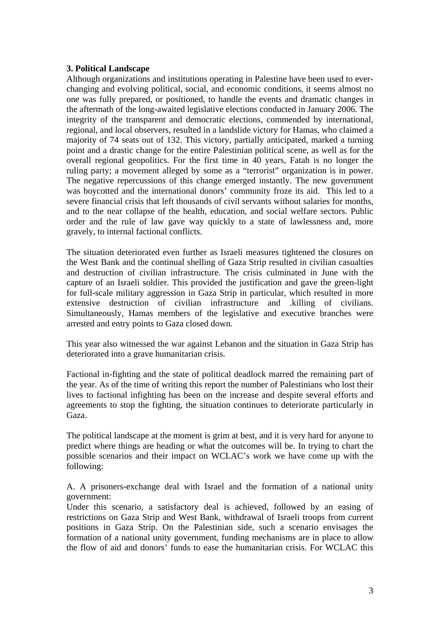# **3. Political Landscape**

Although organizations and institutions operating in Palestine have been used to everchanging and evolving political, social, and economic conditions, it seems almost no one was fully prepared, or positioned, to handle the events and dramatic changes in the aftermath of the long-awaited legislative elections conducted in January 2006. The integrity of the transparent and democratic elections, commended by international, regional, and local observers, resulted in a landslide victory for Hamas, who claimed a majority of 74 seats out of 132. This victory, partially anticipated, marked a turning point and a drastic change for the entire Palestinian political scene, as well as for the overall regional geopolitics. For the first time in 40 years, Fatah is no longer the ruling party; a movement alleged by some as a "terrorist" organization is in power. The negative repercussions of this change emerged instantly. The new government was boycotted and the international donors' community froze its aid. This led to a severe financial crisis that left thousands of civil servants without salaries for months, and to the near collapse of the health, education, and social welfare sectors. Public order and the rule of law gave way quickly to a state of lawlessness and, more gravely, to internal factional conflicts.

The situation deteriorated even further as Israeli measures tightened the closures on the West Bank and the continual shelling of Gaza Strip resulted in civilian casualties and destruction of civilian infrastructure. The crisis culminated in June with the capture of an Israeli soldier. This provided the justification and gave the green-light for full-scale military aggression in Gaza Strip in particular, which resulted in more extensive destruction of civilian infrastructure and .killing of civilians. Simultaneously, Hamas members of the legislative and executive branches were arrested and entry points to Gaza closed down.

This year also witnessed the war against Lebanon and the situation in Gaza Strip has deteriorated into a grave humanitarian crisis.

Factional in-fighting and the state of political deadlock marred the remaining part of the year. As of the time of writing this report the number of Palestinians who lost their lives to factional infighting has been on the increase and despite several efforts and agreements to stop the fighting, the situation continues to deteriorate particularly in Gaza.

The political landscape at the moment is grim at best, and it is very hard for anyone to predict where things are heading or what the outcomes will be. In trying to chart the possible scenarios and their impact on WCLAC's work we have come up with the following:

A. A prisoners-exchange deal with Israel and the formation of a national unity government:

Under this scenario, a satisfactory deal is achieved, followed by an easing of restrictions on Gaza Strip and West Bank, withdrawal of Israeli troops from current positions in Gaza Strip. On the Palestinian side, such a scenario envisages the formation of a national unity government, funding mechanisms are in place to allow the flow of aid and donors' funds to ease the humanitarian crisis. For WCLAC this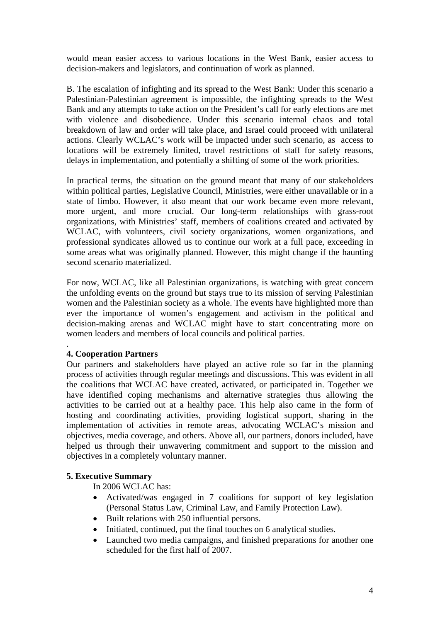would mean easier access to various locations in the West Bank, easier access to decision-makers and legislators, and continuation of work as planned.

B. The escalation of infighting and its spread to the West Bank: Under this scenario a Palestinian-Palestinian agreement is impossible, the infighting spreads to the West Bank and any attempts to take action on the President's call for early elections are met with violence and disobedience. Under this scenario internal chaos and total breakdown of law and order will take place, and Israel could proceed with unilateral actions. Clearly WCLAC's work will be impacted under such scenario, as access to locations will be extremely limited, travel restrictions of staff for safety reasons, delays in implementation, and potentially a shifting of some of the work priorities.

In practical terms, the situation on the ground meant that many of our stakeholders within political parties, Legislative Council, Ministries, were either unavailable or in a state of limbo. However, it also meant that our work became even more relevant, more urgent, and more crucial. Our long-term relationships with grass-root organizations, with Ministries' staff, members of coalitions created and activated by WCLAC, with volunteers, civil society organizations, women organizations, and professional syndicates allowed us to continue our work at a full pace, exceeding in some areas what was originally planned. However, this might change if the haunting second scenario materialized.

For now, WCLAC, like all Palestinian organizations, is watching with great concern the unfolding events on the ground but stays true to its mission of serving Palestinian women and the Palestinian society as a whole. The events have highlighted more than ever the importance of women's engagement and activism in the political and decision-making arenas and WCLAC might have to start concentrating more on women leaders and members of local councils and political parties.

# **4. Cooperation Partners**

.

Our partners and stakeholders have played an active role so far in the planning process of activities through regular meetings and discussions. This was evident in all the coalitions that WCLAC have created, activated, or participated in. Together we have identified coping mechanisms and alternative strategies thus allowing the activities to be carried out at a healthy pace. This help also came in the form of hosting and coordinating activities, providing logistical support, sharing in the implementation of activities in remote areas, advocating WCLAC's mission and objectives, media coverage, and others. Above all, our partners, donors included, have helped us through their unwavering commitment and support to the mission and objectives in a completely voluntary manner.

# **5. Executive Summary**

In 2006 WCLAC has:

- Activated/was engaged in 7 coalitions for support of key legislation (Personal Status Law, Criminal Law, and Family Protection Law).
- Built relations with 250 influential persons.
- Initiated, continued, put the final touches on 6 analytical studies.
- Launched two media campaigns, and finished preparations for another one scheduled for the first half of 2007.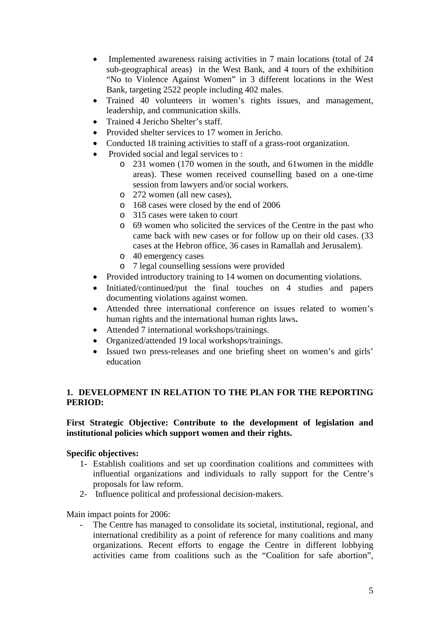- Implemented awareness raising activities in 7 main locations (total of 24 sub-geographical areas) in the West Bank, and 4 tours of the exhibition "No to Violence Against Women" in 3 different locations in the West Bank, targeting 2522 people including 402 males.
- Trained 40 volunteers in women's rights issues, and management, leadership, and communication skills.
- Trained 4 Jericho Shelter's staff.
- Provided shelter services to 17 women in Jericho.
- Conducted 18 training activities to staff of a grass-root organization.
- Provided social and legal services to :
	- o 231 women (170 women in the south, and 61women in the middle areas). These women received counselling based on a one-time session from lawyers and/or social workers.
	- o 272 women (all new cases),
	- o 168 cases were closed by the end of 2006
	- o 315 cases were taken to court
	- o 69 women who solicited the services of the Centre in the past who came back with new cases or for follow up on their old cases. (33 cases at the Hebron office, 36 cases in Ramallah and Jerusalem).
	- o 40 emergency cases
	- o 7 legal counselling sessions were provided
- Provided introductory training to 14 women on documenting violations.
- Initiated/continued/put the final touches on 4 studies and papers documenting violations against women.
- Attended three international conference on issues related to women's human rights and the international human rights laws**.**
- Attended 7 international workshops/trainings.
- Organized/attended 19 local workshops/trainings.
- Issued two press-releases and one briefing sheet on women's and girls' education

# **1. DEVELOPMENT IN RELATION TO THE PLAN FOR THE REPORTING PERIOD:**

# **First Strategic Objective: Contribute to the development of legislation and institutional policies which support women and their rights.**

# **Specific objectives:**

- 1- Establish coalitions and set up coordination coalitions and committees with influential organizations and individuals to rally support for the Centre's proposals for law reform.
- 2- Influence political and professional decision-makers.

Main impact points for 2006:

The Centre has managed to consolidate its societal, institutional, regional, and international credibility as a point of reference for many coalitions and many organizations. Recent efforts to engage the Centre in different lobbying activities came from coalitions such as the "Coalition for safe abortion",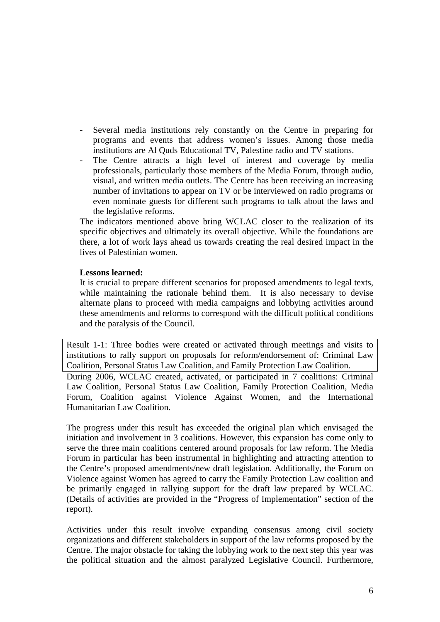- Several media institutions rely constantly on the Centre in preparing for programs and events that address women's issues. Among those media institutions are Al Quds Educational TV, Palestine radio and TV stations.
- The Centre attracts a high level of interest and coverage by media professionals, particularly those members of the Media Forum, through audio, visual, and written media outlets. The Centre has been receiving an increasing number of invitations to appear on TV or be interviewed on radio programs or even nominate guests for different such programs to talk about the laws and the legislative reforms.

The indicators mentioned above bring WCLAC closer to the realization of its specific objectives and ultimately its overall objective. While the foundations are there, a lot of work lays ahead us towards creating the real desired impact in the lives of Palestinian women.

# **Lessons learned:**

It is crucial to prepare different scenarios for proposed amendments to legal texts, while maintaining the rationale behind them. It is also necessary to devise alternate plans to proceed with media campaigns and lobbying activities around these amendments and reforms to correspond with the difficult political conditions and the paralysis of the Council.

Result 1-1: Three bodies were created or activated through meetings and visits to institutions to rally support on proposals for reform/endorsement of: Criminal Law Coalition, Personal Status Law Coalition, and Family Protection Law Coalition.

During 2006, WCLAC created, activated, or participated in 7 coalitions: Criminal Law Coalition, Personal Status Law Coalition, Family Protection Coalition, Media Forum, Coalition against Violence Against Women, and the International Humanitarian Law Coalition.

The progress under this result has exceeded the original plan which envisaged the initiation and involvement in 3 coalitions. However, this expansion has come only to serve the three main coalitions centered around proposals for law reform. The Media Forum in particular has been instrumental in highlighting and attracting attention to the Centre's proposed amendments/new draft legislation. Additionally, the Forum on Violence against Women has agreed to carry the Family Protection Law coalition and be primarily engaged in rallying support for the draft law prepared by WCLAC. (Details of activities are provided in the "Progress of Implementation" section of the report).

Activities under this result involve expanding consensus among civil society organizations and different stakeholders in support of the law reforms proposed by the Centre. The major obstacle for taking the lobbying work to the next step this year was the political situation and the almost paralyzed Legislative Council. Furthermore,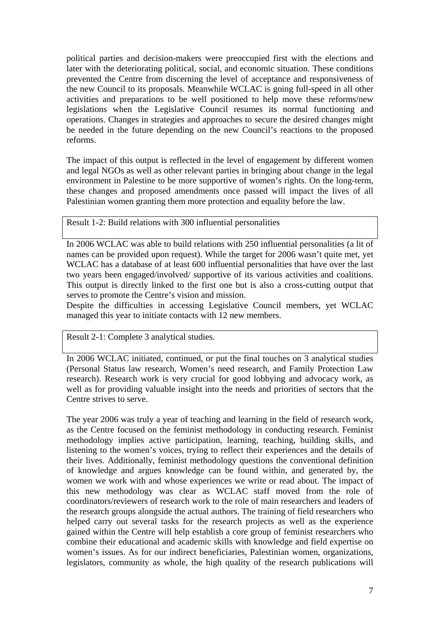political parties and decision-makers were preoccupied first with the elections and later with the deteriorating political, social, and economic situation. These conditions prevented the Centre from discerning the level of acceptance and responsiveness of the new Council to its proposals. Meanwhile WCLAC is going full-speed in all other activities and preparations to be well positioned to help move these reforms/new legislations when the Legislative Council resumes its normal functioning and operations. Changes in strategies and approaches to secure the desired changes might be needed in the future depending on the new Council's reactions to the proposed reforms.

The impact of this output is reflected in the level of engagement by different women and legal NGOs as well as other relevant parties in bringing about change in the legal environment in Palestine to be more supportive of women's rights. On the long-term, these changes and proposed amendments once passed will impact the lives of all Palestinian women granting them more protection and equality before the law.

Result 1-2: Build relations with 300 influential personalities

In 2006 WCLAC was able to build relations with 250 influential personalities (a lit of names can be provided upon request). While the target for 2006 wasn't quite met, yet WCLAC has a database of at least 600 influential personalities that have over the last two years been engaged/involved/ supportive of its various activities and coalitions. This output is directly linked to the first one but is also a cross-cutting output that serves to promote the Centre's vision and mission.

Despite the difficulties in accessing Legislative Council members, yet WCLAC managed this year to initiate contacts with 12 new members.

Result 2-1: Complete 3 analytical studies.

In 2006 WCLAC initiated, continued, or put the final touches on 3 analytical studies (Personal Status law research, Women's need research, and Family Protection Law research). Research work is very crucial for good lobbying and advocacy work, as well as for providing valuable insight into the needs and priorities of sectors that the Centre strives to serve.

The year 2006 was truly a year of teaching and learning in the field of research work, as the Centre focused on the feminist methodology in conducting research. Feminist methodology implies active participation, learning, teaching, building skills, and listening to the women's voices, trying to reflect their experiences and the details of their lives. Additionally, feminist methodology questions the conventional definition of knowledge and argues knowledge can be found within, and generated by, the women we work with and whose experiences we write or read about. The impact of this new methodology was clear as WCLAC staff moved from the role of coordinators/reviewers of research work to the role of main researchers and leaders of the research groups alongside the actual authors. The training of field researchers who helped carry out several tasks for the research projects as well as the experience gained within the Centre will help establish a core group of feminist researchers who combine their educational and academic skills with knowledge and field expertise on women's issues. As for our indirect beneficiaries, Palestinian women, organizations, legislators, community as whole, the high quality of the research publications will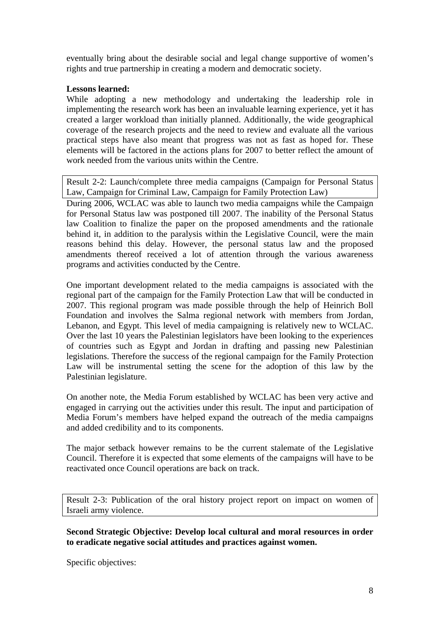eventually bring about the desirable social and legal change supportive of women's rights and true partnership in creating a modern and democratic society.

# **Lessons learned:**

While adopting a new methodology and undertaking the leadership role in implementing the research work has been an invaluable learning experience, yet it has created a larger workload than initially planned. Additionally, the wide geographical coverage of the research projects and the need to review and evaluate all the various practical steps have also meant that progress was not as fast as hoped for. These elements will be factored in the actions plans for 2007 to better reflect the amount of work needed from the various units within the Centre.

Result 2-2: Launch/complete three media campaigns (Campaign for Personal Status Law, Campaign for Criminal Law, Campaign for Family Protection Law)

During 2006, WCLAC was able to launch two media campaigns while the Campaign for Personal Status law was postponed till 2007. The inability of the Personal Status law Coalition to finalize the paper on the proposed amendments and the rationale behind it, in addition to the paralysis within the Legislative Council, were the main reasons behind this delay. However, the personal status law and the proposed amendments thereof received a lot of attention through the various awareness programs and activities conducted by the Centre.

One important development related to the media campaigns is associated with the regional part of the campaign for the Family Protection Law that will be conducted in 2007. This regional program was made possible through the help of Heinrich Boll Foundation and involves the Salma regional network with members from Jordan, Lebanon, and Egypt. This level of media campaigning is relatively new to WCLAC. Over the last 10 years the Palestinian legislators have been looking to the experiences of countries such as Egypt and Jordan in drafting and passing new Palestinian legislations. Therefore the success of the regional campaign for the Family Protection Law will be instrumental setting the scene for the adoption of this law by the Palestinian legislature.

On another note, the Media Forum established by WCLAC has been very active and engaged in carrying out the activities under this result. The input and participation of Media Forum's members have helped expand the outreach of the media campaigns and added credibility and to its components.

The major setback however remains to be the current stalemate of the Legislative Council. Therefore it is expected that some elements of the campaigns will have to be reactivated once Council operations are back on track.

Result 2-3: Publication of the oral history project report on impact on women of Israeli army violence.

**Second Strategic Objective: Develop local cultural and moral resources in order to eradicate negative social attitudes and practices against women.** 

Specific objectives: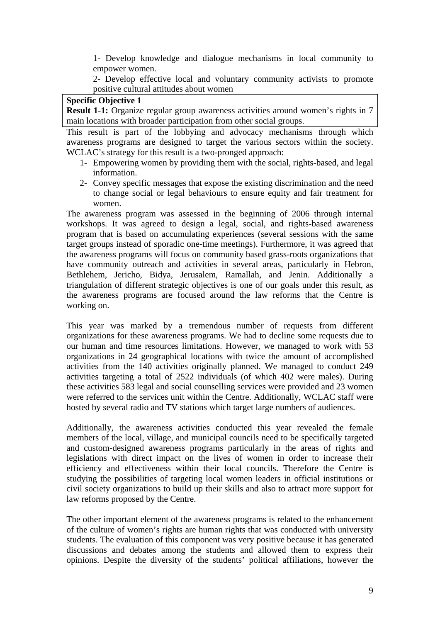1- Develop knowledge and dialogue mechanisms in local community to empower women.

 2- Develop effective local and voluntary community activists to promote positive cultural attitudes about women

#### **Specific Objective 1**

**Result 1-1:** Organize regular group awareness activities around women's rights in 7 main locations with broader participation from other social groups.

This result is part of the lobbying and advocacy mechanisms through which awareness programs are designed to target the various sectors within the society. WCLAC's strategy for this result is a two-pronged approach:

- 1- Empowering women by providing them with the social, rights-based, and legal information.
- 2- Convey specific messages that expose the existing discrimination and the need to change social or legal behaviours to ensure equity and fair treatment for women.

The awareness program was assessed in the beginning of 2006 through internal workshops. It was agreed to design a legal, social, and rights-based awareness program that is based on accumulating experiences (several sessions with the same target groups instead of sporadic one-time meetings). Furthermore, it was agreed that the awareness programs will focus on community based grass-roots organizations that have community outreach and activities in several areas, particularly in Hebron, Bethlehem, Jericho, Bidya, Jerusalem, Ramallah, and Jenin. Additionally a triangulation of different strategic objectives is one of our goals under this result, as the awareness programs are focused around the law reforms that the Centre is working on.

This year was marked by a tremendous number of requests from different organizations for these awareness programs. We had to decline some requests due to our human and time resources limitations. However, we managed to work with 53 organizations in 24 geographical locations with twice the amount of accomplished activities from the 140 activities originally planned. We managed to conduct 249 activities targeting a total of 2522 individuals (of which 402 were males). During these activities 583 legal and social counselling services were provided and 23 women were referred to the services unit within the Centre. Additionally, WCLAC staff were hosted by several radio and TV stations which target large numbers of audiences.

Additionally, the awareness activities conducted this year revealed the female members of the local, village, and municipal councils need to be specifically targeted and custom-designed awareness programs particularly in the areas of rights and legislations with direct impact on the lives of women in order to increase their efficiency and effectiveness within their local councils. Therefore the Centre is studying the possibilities of targeting local women leaders in official institutions or civil society organizations to build up their skills and also to attract more support for law reforms proposed by the Centre.

The other important element of the awareness programs is related to the enhancement of the culture of women's rights are human rights that was conducted with university students. The evaluation of this component was very positive because it has generated discussions and debates among the students and allowed them to express their opinions. Despite the diversity of the students' political affiliations, however the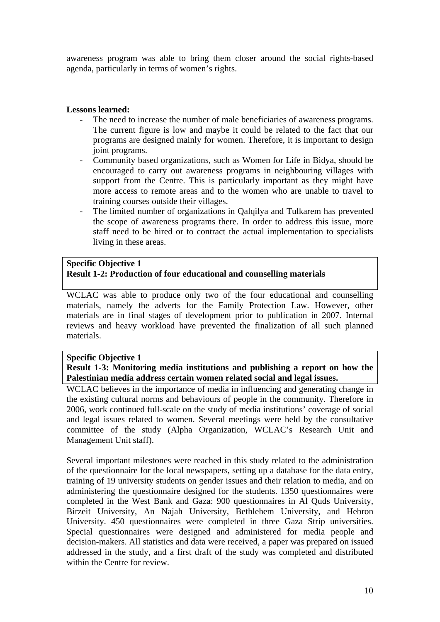awareness program was able to bring them closer around the social rights-based agenda, particularly in terms of women's rights.

# **Lessons learned:**

- The need to increase the number of male beneficiaries of awareness programs. The current figure is low and maybe it could be related to the fact that our programs are designed mainly for women. Therefore, it is important to design joint programs.
- Community based organizations, such as Women for Life in Bidya, should be encouraged to carry out awareness programs in neighbouring villages with support from the Centre. This is particularly important as they might have more access to remote areas and to the women who are unable to travel to training courses outside their villages.
- The limited number of organizations in Qalqilya and Tulkarem has prevented the scope of awareness programs there. In order to address this issue, more staff need to be hired or to contract the actual implementation to specialists living in these areas.

# **Specific Objective 1 Result 1-2: Production of four educational and counselling materials**

WCLAC was able to produce only two of the four educational and counselling materials, namely the adverts for the Family Protection Law. However, other materials are in final stages of development prior to publication in 2007. Internal reviews and heavy workload have prevented the finalization of all such planned materials.

#### **Specific Objective 1**

**Result 1-3: Monitoring media institutions and publishing a report on how the Palestinian media address certain women related social and legal issues.** 

WCLAC believes in the importance of media in influencing and generating change in the existing cultural norms and behaviours of people in the community. Therefore in 2006, work continued full-scale on the study of media institutions' coverage of social and legal issues related to women. Several meetings were held by the consultative committee of the study (Alpha Organization, WCLAC's Research Unit and Management Unit staff).

Several important milestones were reached in this study related to the administration of the questionnaire for the local newspapers, setting up a database for the data entry, training of 19 university students on gender issues and their relation to media, and on administering the questionnaire designed for the students. 1350 questionnaires were completed in the West Bank and Gaza: 900 questionnaires in Al Quds University, Birzeit University, An Najah University, Bethlehem University, and Hebron University. 450 questionnaires were completed in three Gaza Strip universities. Special questionnaires were designed and administered for media people and decision-makers. All statistics and data were received, a paper was prepared on issued addressed in the study, and a first draft of the study was completed and distributed within the Centre for review.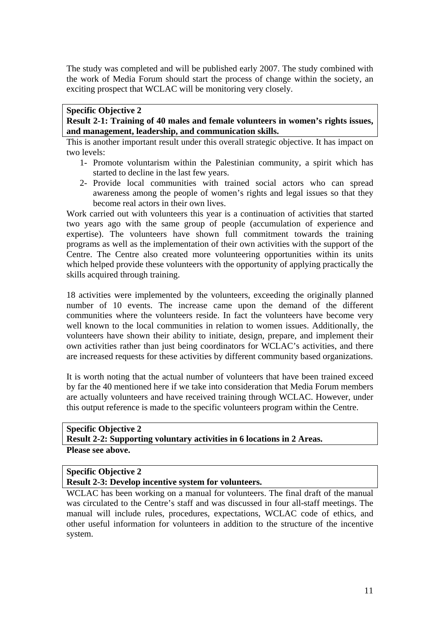The study was completed and will be published early 2007. The study combined with the work of Media Forum should start the process of change within the society, an exciting prospect that WCLAC will be monitoring very closely.

# **Specific Objective 2 Result 2-1: Training of 40 males and female volunteers in women's rights issues, and management, leadership, and communication skills.**

This is another important result under this overall strategic objective. It has impact on two levels:

- 1- Promote voluntarism within the Palestinian community, a spirit which has started to decline in the last few years.
- 2- Provide local communities with trained social actors who can spread awareness among the people of women's rights and legal issues so that they become real actors in their own lives.

Work carried out with volunteers this year is a continuation of activities that started two years ago with the same group of people (accumulation of experience and expertise). The volunteers have shown full commitment towards the training programs as well as the implementation of their own activities with the support of the Centre. The Centre also created more volunteering opportunities within its units which helped provide these volunteers with the opportunity of applying practically the skills acquired through training.

18 activities were implemented by the volunteers, exceeding the originally planned number of 10 events. The increase came upon the demand of the different communities where the volunteers reside. In fact the volunteers have become very well known to the local communities in relation to women issues. Additionally, the volunteers have shown their ability to initiate, design, prepare, and implement their own activities rather than just being coordinators for WCLAC's activities, and there are increased requests for these activities by different community based organizations.

It is worth noting that the actual number of volunteers that have been trained exceed by far the 40 mentioned here if we take into consideration that Media Forum members are actually volunteers and have received training through WCLAC. However, under this output reference is made to the specific volunteers program within the Centre.

# **Specific Objective 2 Result 2-2: Supporting voluntary activities in 6 locations in 2 Areas. Please see above.**

# **Specific Objective 2**

**Result 2-3: Develop incentive system for volunteers.** 

WCLAC has been working on a manual for volunteers. The final draft of the manual was circulated to the Centre's staff and was discussed in four all-staff meetings. The manual will include rules, procedures, expectations, WCLAC code of ethics, and other useful information for volunteers in addition to the structure of the incentive system.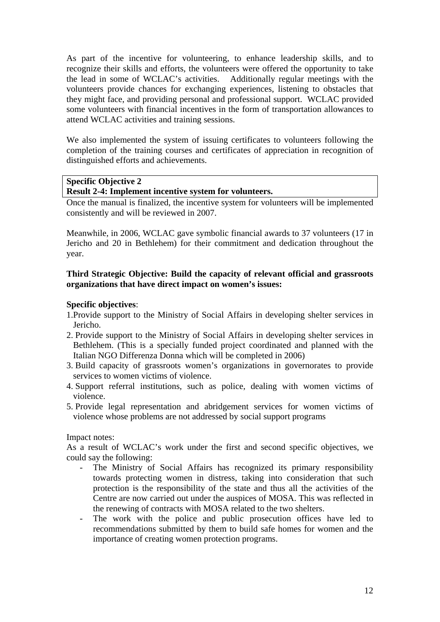As part of the incentive for volunteering, to enhance leadership skills, and to recognize their skills and efforts, the volunteers were offered the opportunity to take the lead in some of WCLAC's activities. Additionally regular meetings with the volunteers provide chances for exchanging experiences, listening to obstacles that they might face, and providing personal and professional support. WCLAC provided some volunteers with financial incentives in the form of transportation allowances to attend WCLAC activities and training sessions.

We also implemented the system of issuing certificates to volunteers following the completion of the training courses and certificates of appreciation in recognition of distinguished efforts and achievements.

# **Specific Objective 2**

# **Result 2-4: Implement incentive system for volunteers.**

Once the manual is finalized, the incentive system for volunteers will be implemented consistently and will be reviewed in 2007.

Meanwhile, in 2006, WCLAC gave symbolic financial awards to 37 volunteers (17 in Jericho and 20 in Bethlehem) for their commitment and dedication throughout the year.

# **Third Strategic Objective: Build the capacity of relevant official and grassroots organizations that have direct impact on women's issues:**

# **Specific objectives**:

- 1.Provide support to the Ministry of Social Affairs in developing shelter services in Jericho.
- 2. Provide support to the Ministry of Social Affairs in developing shelter services in Bethlehem. (This is a specially funded project coordinated and planned with the Italian NGO Differenza Donna which will be completed in 2006)
- 3. Build capacity of grassroots women's organizations in governorates to provide services to women victims of violence.
- 4. Support referral institutions, such as police, dealing with women victims of violence.
- 5. Provide legal representation and abridgement services for women victims of violence whose problems are not addressed by social support programs

# Impact notes:

As a result of WCLAC's work under the first and second specific objectives, we could say the following:

- The Ministry of Social Affairs has recognized its primary responsibility towards protecting women in distress, taking into consideration that such protection is the responsibility of the state and thus all the activities of the Centre are now carried out under the auspices of MOSA. This was reflected in the renewing of contracts with MOSA related to the two shelters.
- The work with the police and public prosecution offices have led to recommendations submitted by them to build safe homes for women and the importance of creating women protection programs.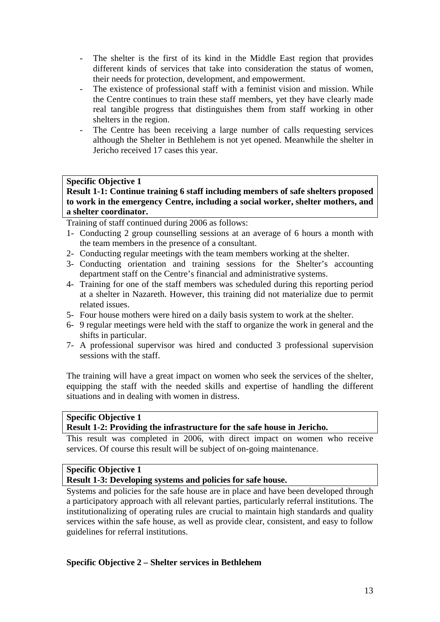- The shelter is the first of its kind in the Middle East region that provides different kinds of services that take into consideration the status of women, their needs for protection, development, and empowerment.
- The existence of professional staff with a feminist vision and mission. While the Centre continues to train these staff members, yet they have clearly made real tangible progress that distinguishes them from staff working in other shelters in the region.
- The Centre has been receiving a large number of calls requesting services although the Shelter in Bethlehem is not yet opened. Meanwhile the shelter in Jericho received 17 cases this year.

# **Specific Objective 1**

**Result 1-1: Continue training 6 staff including members of safe shelters proposed to work in the emergency Centre, including a social worker, shelter mothers, and a shelter coordinator.** 

Training of staff continued during 2006 as follows:

- 1- Conducting 2 group counselling sessions at an average of 6 hours a month with the team members in the presence of a consultant.
- 2- Conducting regular meetings with the team members working at the shelter.
- 3- Conducting orientation and training sessions for the Shelter's accounting department staff on the Centre's financial and administrative systems.
- 4- Training for one of the staff members was scheduled during this reporting period at a shelter in Nazareth. However, this training did not materialize due to permit related issues.
- 5- Four house mothers were hired on a daily basis system to work at the shelter.
- 6- 9 regular meetings were held with the staff to organize the work in general and the shifts in particular.
- 7- A professional supervisor was hired and conducted 3 professional supervision sessions with the staff.

The training will have a great impact on women who seek the services of the shelter, equipping the staff with the needed skills and expertise of handling the different situations and in dealing with women in distress.

# **Specific Objective 1**

#### **Result 1-2: Providing the infrastructure for the safe house in Jericho.**

This result was completed in 2006, with direct impact on women who receive services. Of course this result will be subject of on-going maintenance.

# **Specific Objective 1**

**Result 1-3: Developing systems and policies for safe house.** 

Systems and policies for the safe house are in place and have been developed through a participatory approach with all relevant parties, particularly referral institutions. The institutionalizing of operating rules are crucial to maintain high standards and quality services within the safe house, as well as provide clear, consistent, and easy to follow guidelines for referral institutions.

# **Specific Objective 2 – Shelter services in Bethlehem**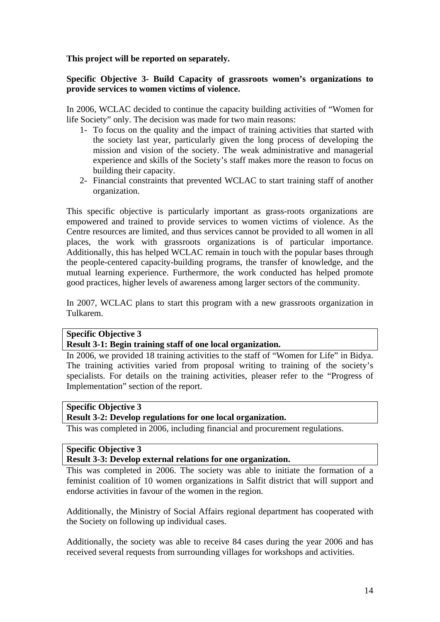**This project will be reported on separately.** 

# **Specific Objective 3- Build Capacity of grassroots women's organizations to provide services to women victims of violence.**

In 2006, WCLAC decided to continue the capacity building activities of "Women for life Society" only. The decision was made for two main reasons:

- 1- To focus on the quality and the impact of training activities that started with the society last year, particularly given the long process of developing the mission and vision of the society. The weak administrative and managerial experience and skills of the Society's staff makes more the reason to focus on building their capacity.
- 2- Financial constraints that prevented WCLAC to start training staff of another organization.

This specific objective is particularly important as grass-roots organizations are empowered and trained to provide services to women victims of violence. As the Centre resources are limited, and thus services cannot be provided to all women in all places, the work with grassroots organizations is of particular importance. Additionally, this has helped WCLAC remain in touch with the popular bases through the people-centered capacity-building programs, the transfer of knowledge, and the mutual learning experience. Furthermore, the work conducted has helped promote good practices, higher levels of awareness among larger sectors of the community.

In 2007, WCLAC plans to start this program with a new grassroots organization in Tulkarem.

# **Specific Objective 3**

# **Result 3-1: Begin training staff of one local organization.**

In 2006, we provided 18 training activities to the staff of "Women for Life" in Bidya. The training activities varied from proposal writing to training of the society's specialists. For details on the training activities, pleaser refer to the "Progress of Implementation" section of the report.

# **Specific Objective 3**

# **Result 3-2: Develop regulations for one local organization.**

This was completed in 2006, including financial and procurement regulations.

# **Specific Objective 3**

# **Result 3-3: Develop external relations for one organization.**

This was completed in 2006. The society was able to initiate the formation of a feminist coalition of 10 women organizations in Salfit district that will support and endorse activities in favour of the women in the region.

Additionally, the Ministry of Social Affairs regional department has cooperated with the Society on following up individual cases.

Additionally, the society was able to receive 84 cases during the year 2006 and has received several requests from surrounding villages for workshops and activities.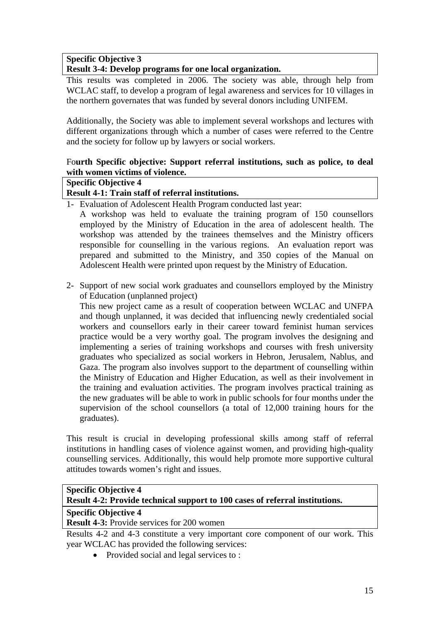# **Specific Objective 3**

# **Result 3-4: Develop programs for one local organization.**

This results was completed in 2006. The society was able, through help from WCLAC staff, to develop a program of legal awareness and services for 10 villages in the northern governates that was funded by several donors including UNIFEM.

Additionally, the Society was able to implement several workshops and lectures with different organizations through which a number of cases were referred to the Centre and the society for follow up by lawyers or social workers.

# Fo**urth Specific objective: Support referral institutions, such as police, to deal with women victims of violence.**

# **Specific Objective 4**

# **Result 4-1: Train staff of referral institutions.**

1- Evaluation of Adolescent Health Program conducted last year:

A workshop was held to evaluate the training program of 150 counsellors employed by the Ministry of Education in the area of adolescent health. The workshop was attended by the trainees themselves and the Ministry officers responsible for counselling in the various regions. An evaluation report was prepared and submitted to the Ministry, and 350 copies of the Manual on Adolescent Health were printed upon request by the Ministry of Education.

2- Support of new social work graduates and counsellors employed by the Ministry of Education (unplanned project)

This new project came as a result of cooperation between WCLAC and UNFPA and though unplanned, it was decided that influencing newly credentialed social workers and counsellors early in their career toward feminist human services practice would be a very worthy goal. The program involves the designing and implementing a series of training workshops and courses with fresh university graduates who specialized as social workers in Hebron, Jerusalem, Nablus, and Gaza. The program also involves support to the department of counselling within the Ministry of Education and Higher Education, as well as their involvement in the training and evaluation activities. The program involves practical training as the new graduates will be able to work in public schools for four months under the supervision of the school counsellors (a total of 12,000 training hours for the graduates).

This result is crucial in developing professional skills among staff of referral institutions in handling cases of violence against women, and providing high-quality counselling services. Additionally, this would help promote more supportive cultural attitudes towards women's right and issues.

| <b>Specific Objective 4</b>                                                  |  |
|------------------------------------------------------------------------------|--|
| Result 4-2: Provide technical support to 100 cases of referral institutions. |  |

# **Specific Objective 4**

**Result 4-3:** Provide services for 200 women

Results 4-2 and 4-3 constitute a very important core component of our work. This year WCLAC has provided the following services:

• Provided social and legal services to: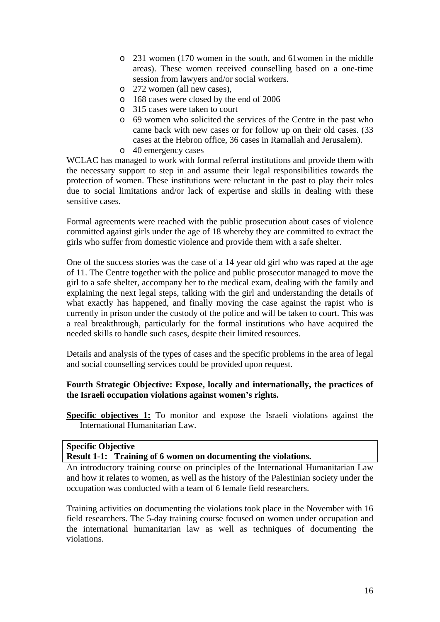- o 231 women (170 women in the south, and 61women in the middle areas). These women received counselling based on a one-time session from lawyers and/or social workers.
- o 272 women (all new cases),
- o 168 cases were closed by the end of 2006
- o 315 cases were taken to court
- o 69 women who solicited the services of the Centre in the past who came back with new cases or for follow up on their old cases. (33 cases at the Hebron office, 36 cases in Ramallah and Jerusalem).
- o 40 emergency cases

WCLAC has managed to work with formal referral institutions and provide them with the necessary support to step in and assume their legal responsibilities towards the protection of women. These institutions were reluctant in the past to play their roles due to social limitations and/or lack of expertise and skills in dealing with these sensitive cases.

Formal agreements were reached with the public prosecution about cases of violence committed against girls under the age of 18 whereby they are committed to extract the girls who suffer from domestic violence and provide them with a safe shelter.

One of the success stories was the case of a 14 year old girl who was raped at the age of 11. The Centre together with the police and public prosecutor managed to move the girl to a safe shelter, accompany her to the medical exam, dealing with the family and explaining the next legal steps, talking with the girl and understanding the details of what exactly has happened, and finally moving the case against the rapist who is currently in prison under the custody of the police and will be taken to court. This was a real breakthrough, particularly for the formal institutions who have acquired the needed skills to handle such cases, despite their limited resources.

Details and analysis of the types of cases and the specific problems in the area of legal and social counselling services could be provided upon request.

# **Fourth Strategic Objective: Expose, locally and internationally, the practices of the Israeli occupation violations against women's rights.**

**Specific objectives 1:** To monitor and expose the Israeli violations against the International Humanitarian Law.

# **Specific Objective**

**Result 1-1: Training of 6 women on documenting the violations.**

An introductory training course on principles of the International Humanitarian Law and how it relates to women, as well as the history of the Palestinian society under the occupation was conducted with a team of 6 female field researchers.

Training activities on documenting the violations took place in the November with 16 field researchers. The 5-day training course focused on women under occupation and the international humanitarian law as well as techniques of documenting the violations.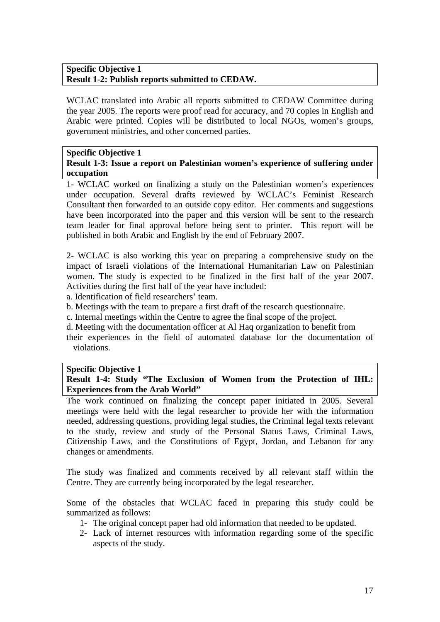# **Specific Objective 1 Result 1-2: Publish reports submitted to CEDAW.**

WCLAC translated into Arabic all reports submitted to CEDAW Committee during the year 2005. The reports were proof read for accuracy, and 70 copies in English and Arabic were printed. Copies will be distributed to local NGOs, women's groups, government ministries, and other concerned parties.

# **Specific Objective 1 Result 1-3: Issue a report on Palestinian women's experience of suffering under occupation**

1- WCLAC worked on finalizing a study on the Palestinian women's experiences under occupation. Several drafts reviewed by WCLAC's Feminist Research Consultant then forwarded to an outside copy editor. Her comments and suggestions have been incorporated into the paper and this version will be sent to the research team leader for final approval before being sent to printer. This report will be published in both Arabic and English by the end of February 2007.

2- WCLAC is also working this year on preparing a comprehensive study on the impact of Israeli violations of the International Humanitarian Law on Palestinian women. The study is expected to be finalized in the first half of the year 2007. Activities during the first half of the year have included:

a. Identification of field researchers' team.

b. Meetings with the team to prepare a first draft of the research questionnaire.

c. Internal meetings within the Centre to agree the final scope of the project.

d. Meeting with the documentation officer at Al Haq organization to benefit from

their experiences in the field of automated database for the documentation of violations.

# **Specific Objective 1**

**Result 1-4: Study "The Exclusion of Women from the Protection of IHL: Experiences from the Arab World"** 

The work continued on finalizing the concept paper initiated in 2005. Several meetings were held with the legal researcher to provide her with the information needed, addressing questions, providing legal studies, the Criminal legal texts relevant to the study, review and study of the Personal Status Laws, Criminal Laws, Citizenship Laws, and the Constitutions of Egypt, Jordan, and Lebanon for any changes or amendments.

The study was finalized and comments received by all relevant staff within the Centre. They are currently being incorporated by the legal researcher.

Some of the obstacles that WCLAC faced in preparing this study could be summarized as follows:

- 1- The original concept paper had old information that needed to be updated.
- 2- Lack of internet resources with information regarding some of the specific aspects of the study.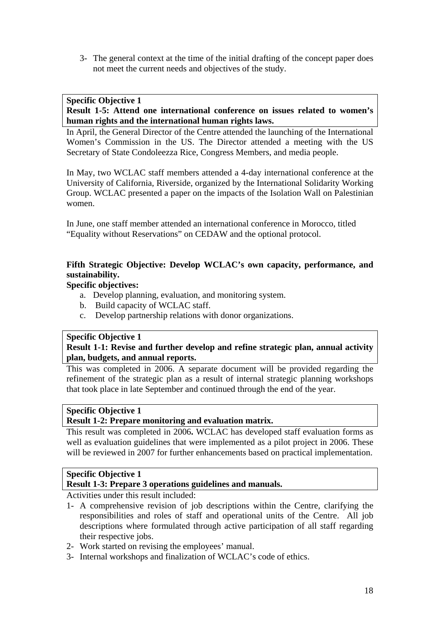3- The general context at the time of the initial drafting of the concept paper does not meet the current needs and objectives of the study.

#### **Specific Objective 1 Result 1-5: Attend one international conference on issues related to women's human rights and the international human rights laws.**

In April, the General Director of the Centre attended the launching of the International Women's Commission in the US. The Director attended a meeting with the US Secretary of State Condoleezza Rice, Congress Members, and media people.

In May, two WCLAC staff members attended a 4-day international conference at the University of California, Riverside, organized by the International Solidarity Working Group. WCLAC presented a paper on the impacts of the Isolation Wall on Palestinian women.

In June, one staff member attended an international conference in Morocco, titled "Equality without Reservations" on CEDAW and the optional protocol.

# **Fifth Strategic Objective: Develop WCLAC's own capacity, performance, and sustainability.**

# **Specific objectives:**

- a. Develop planning, evaluation, and monitoring system.
- b. Build capacity of WCLAC staff.
- c. Develop partnership relations with donor organizations.

# **Specific Objective 1**

# **Result 1-1: Revise and further develop and refine strategic plan, annual activity plan, budgets, and annual reports.**

This was completed in 2006. A separate document will be provided regarding the refinement of the strategic plan as a result of internal strategic planning workshops that took place in late September and continued through the end of the year.

# **Specific Objective 1**

# **Result 1-2: Prepare monitoring and evaluation matrix.**

This result was completed in 2006**.** WCLAC has developed staff evaluation forms as well as evaluation guidelines that were implemented as a pilot project in 2006. These will be reviewed in 2007 for further enhancements based on practical implementation.

# **Specific Objective 1**

# **Result 1-3: Prepare 3 operations guidelines and manuals.**

Activities under this result included:

- 1- A comprehensive revision of job descriptions within the Centre, clarifying the responsibilities and roles of staff and operational units of the Centre. All job descriptions where formulated through active participation of all staff regarding their respective jobs.
- 2- Work started on revising the employees' manual.
- 3- Internal workshops and finalization of WCLAC's code of ethics.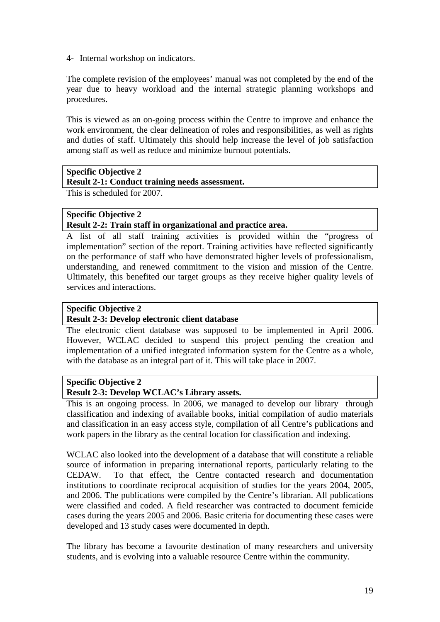4- Internal workshop on indicators.

The complete revision of the employees' manual was not completed by the end of the year due to heavy workload and the internal strategic planning workshops and procedures.

This is viewed as an on-going process within the Centre to improve and enhance the work environment, the clear delineation of roles and responsibilities, as well as rights and duties of staff. Ultimately this should help increase the level of job satisfaction among staff as well as reduce and minimize burnout potentials.

# **Specific Objective 2**

#### **Result 2-1: Conduct training needs assessment.**

This is scheduled for 2007.

# **Specific Objective 2 Result 2-2: Train staff in organizational and practice area.**

A list of all staff training activities is provided within the "progress of implementation" section of the report. Training activities have reflected significantly on the performance of staff who have demonstrated higher levels of professionalism, understanding, and renewed commitment to the vision and mission of the Centre. Ultimately, this benefited our target groups as they receive higher quality levels of services and interactions.

# **Specific Objective 2**

# **Result 2-3: Develop electronic client database**

The electronic client database was supposed to be implemented in April 2006. However, WCLAC decided to suspend this project pending the creation and implementation of a unified integrated information system for the Centre as a whole, with the database as an integral part of it. This will take place in 2007.

# **Specific Objective 2**

# **Result 2-3: Develop WCLAC's Library assets.**

This is an ongoing process. In 2006, we managed to develop our library through classification and indexing of available books, initial compilation of audio materials and classification in an easy access style, compilation of all Centre's publications and work papers in the library as the central location for classification and indexing.

WCLAC also looked into the development of a database that will constitute a reliable source of information in preparing international reports, particularly relating to the CEDAW. To that effect, the Centre contacted research and documentation institutions to coordinate reciprocal acquisition of studies for the years 2004, 2005, and 2006. The publications were compiled by the Centre's librarian. All publications were classified and coded. A field researcher was contracted to document femicide cases during the years 2005 and 2006. Basic criteria for documenting these cases were developed and 13 study cases were documented in depth.

The library has become a favourite destination of many researchers and university students, and is evolving into a valuable resource Centre within the community.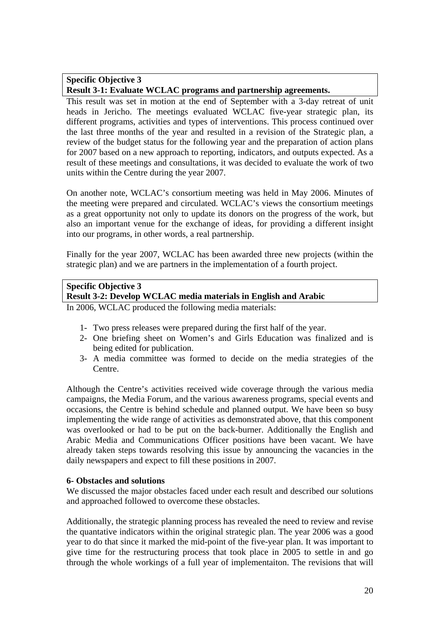# **Specific Objective 3 Result 3-1: Evaluate WCLAC programs and partnership agreements.**

This result was set in motion at the end of September with a 3-day retreat of unit heads in Jericho. The meetings evaluated WCLAC five-year strategic plan, its different programs, activities and types of interventions. This process continued over the last three months of the year and resulted in a revision of the Strategic plan, a review of the budget status for the following year and the preparation of action plans for 2007 based on a new approach to reporting, indicators, and outputs expected. As a result of these meetings and consultations, it was decided to evaluate the work of two units within the Centre during the year 2007.

On another note, WCLAC's consortium meeting was held in May 2006. Minutes of the meeting were prepared and circulated. WCLAC's views the consortium meetings as a great opportunity not only to update its donors on the progress of the work, but also an important venue for the exchange of ideas, for providing a different insight into our programs, in other words, a real partnership.

Finally for the year 2007, WCLAC has been awarded three new projects (within the strategic plan) and we are partners in the implementation of a fourth project.

# **Specific Objective 3**

# **Result 3-2: Develop WCLAC media materials in English and Arabic**

In 2006, WCLAC produced the following media materials:

- 1- Two press releases were prepared during the first half of the year.
- 2- One briefing sheet on Women's and Girls Education was finalized and is being edited for publication.
- 3- A media committee was formed to decide on the media strategies of the Centre.

Although the Centre's activities received wide coverage through the various media campaigns, the Media Forum, and the various awareness programs, special events and occasions, the Centre is behind schedule and planned output. We have been so busy implementing the wide range of activities as demonstrated above, that this component was overlooked or had to be put on the back-burner. Additionally the English and Arabic Media and Communications Officer positions have been vacant. We have already taken steps towards resolving this issue by announcing the vacancies in the daily newspapers and expect to fill these positions in 2007.

# **6- Obstacles and solutions**

We discussed the major obstacles faced under each result and described our solutions and approached followed to overcome these obstacles.

Additionally, the strategic planning process has revealed the need to review and revise the quantative indicators within the original strategic plan. The year 2006 was a good year to do that since it marked the mid-point of the five-year plan. It was important to give time for the restructuring process that took place in 2005 to settle in and go through the whole workings of a full year of implementaiton. The revisions that will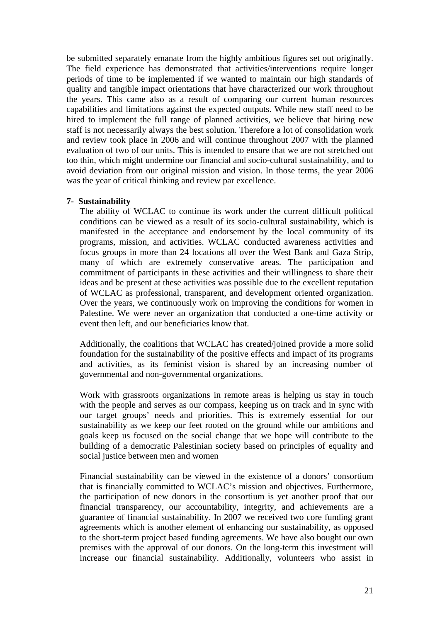be submitted separately emanate from the highly ambitious figures set out originally. The field experience has demonstrated that activities/interventions require longer periods of time to be implemented if we wanted to maintain our high standards of quality and tangible impact orientations that have characterized our work throughout the years. This came also as a result of comparing our current human resources capabilities and limitations against the expected outputs. While new staff need to be hired to implement the full range of planned activities, we believe that hiring new staff is not necessarily always the best solution. Therefore a lot of consolidation work and review took place in 2006 and will continue throughout 2007 with the planned evaluation of two of our units. This is intended to ensure that we are not stretched out too thin, which might undermine our financial and socio-cultural sustainability, and to avoid deviation from our original mission and vision. In those terms, the year 2006 was the year of critical thinking and review par excellence.

# **7- Sustainability**

The ability of WCLAC to continue its work under the current difficult political conditions can be viewed as a result of its socio-cultural sustainability, which is manifested in the acceptance and endorsement by the local community of its programs, mission, and activities. WCLAC conducted awareness activities and focus groups in more than 24 locations all over the West Bank and Gaza Strip, many of which are extremely conservative areas. The participation and commitment of participants in these activities and their willingness to share their ideas and be present at these activities was possible due to the excellent reputation of WCLAC as professional, transparent, and development oriented organization. Over the years, we continuously work on improving the conditions for women in Palestine. We were never an organization that conducted a one-time activity or event then left, and our beneficiaries know that.

Additionally, the coalitions that WCLAC has created/joined provide a more solid foundation for the sustainability of the positive effects and impact of its programs and activities, as its feminist vision is shared by an increasing number of governmental and non-governmental organizations.

Work with grassroots organizations in remote areas is helping us stay in touch with the people and serves as our compass, keeping us on track and in sync with our target groups' needs and priorities. This is extremely essential for our sustainability as we keep our feet rooted on the ground while our ambitions and goals keep us focused on the social change that we hope will contribute to the building of a democratic Palestinian society based on principles of equality and social justice between men and women

Financial sustainability can be viewed in the existence of a donors' consortium that is financially committed to WCLAC's mission and objectives. Furthermore, the participation of new donors in the consortium is yet another proof that our financial transparency, our accountability, integrity, and achievements are a guarantee of financial sustainability. In 2007 we received two core funding grant agreements which is another element of enhancing our sustainability, as opposed to the short-term project based funding agreements. We have also bought our own premises with the approval of our donors. On the long-term this investment will increase our financial sustainability. Additionally, volunteers who assist in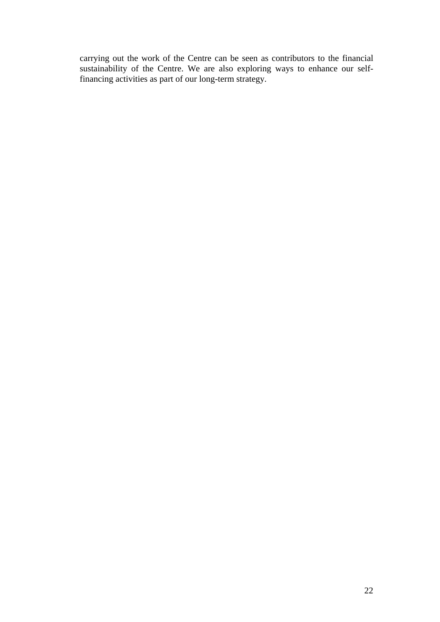carrying out the work of the Centre can be seen as contributors to the financial sustainability of the Centre. We are also exploring ways to enhance our selffinancing activities as part of our long-term strategy.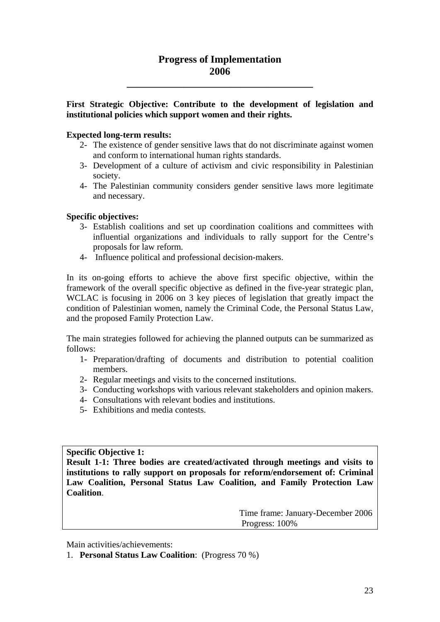# **Progress of Implementation 2006**

**\_\_\_\_\_\_\_\_\_\_\_\_\_\_\_\_\_\_\_\_\_\_\_\_\_\_\_\_\_\_\_\_\_\_\_\_** 

# **First Strategic Objective: Contribute to the development of legislation and institutional policies which support women and their rights.**

# **Expected long-term results:**

- 2- The existence of gender sensitive laws that do not discriminate against women and conform to international human rights standards.
- 3- Development of a culture of activism and civic responsibility in Palestinian society.
- 4- The Palestinian community considers gender sensitive laws more legitimate and necessary.

# **Specific objectives:**

- 3- Establish coalitions and set up coordination coalitions and committees with influential organizations and individuals to rally support for the Centre's proposals for law reform.
- 4- Influence political and professional decision-makers.

In its on-going efforts to achieve the above first specific objective, within the framework of the overall specific objective as defined in the five-year strategic plan, WCLAC is focusing in 2006 on 3 key pieces of legislation that greatly impact the condition of Palestinian women, namely the Criminal Code, the Personal Status Law, and the proposed Family Protection Law.

The main strategies followed for achieving the planned outputs can be summarized as follows:

- 1- Preparation/drafting of documents and distribution to potential coalition members.
- 2- Regular meetings and visits to the concerned institutions.
- 3- Conducting workshops with various relevant stakeholders and opinion makers.
- 4- Consultations with relevant bodies and institutions.
- 5- Exhibitions and media contests.

**Specific Objective 1:** 

**Result 1-1: Three bodies are created/activated through meetings and visits to institutions to rally support on proposals for reform/endorsement of: Criminal Law Coalition, Personal Status Law Coalition, and Family Protection Law Coalition**.

> Time frame: January-December 2006 Progress: 100%

Main activities/achievements:

1. **Personal Status Law Coalition**: (Progress 70 %)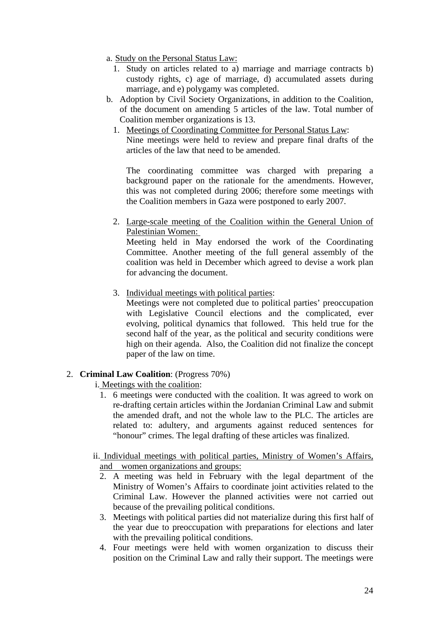- a. Study on the Personal Status Law:
	- 1. Study on articles related to a) marriage and marriage contracts b) custody rights, c) age of marriage, d) accumulated assets during marriage, and e) polygamy was completed.
- b. Adoption by Civil Society Organizations, in addition to the Coalition, of the document on amending 5 articles of the law. Total number of Coalition member organizations is 13.
	- 1. Meetings of Coordinating Committee for Personal Status Law: Nine meetings were held to review and prepare final drafts of the articles of the law that need to be amended.

The coordinating committee was charged with preparing a background paper on the rationale for the amendments. However, this was not completed during 2006; therefore some meetings with the Coalition members in Gaza were postponed to early 2007.

2. Large-scale meeting of the Coalition within the General Union of Palestinian Women:

Meeting held in May endorsed the work of the Coordinating Committee. Another meeting of the full general assembly of the coalition was held in December which agreed to devise a work plan for advancing the document.

3. Individual meetings with political parties:

Meetings were not completed due to political parties' preoccupation with Legislative Council elections and the complicated, ever evolving, political dynamics that followed. This held true for the second half of the year, as the political and security conditions were high on their agenda. Also, the Coalition did not finalize the concept paper of the law on time.

# 2. **Criminal Law Coalition**: (Progress 70%)

- i. Meetings with the coalition:
	- 1. 6 meetings were conducted with the coalition. It was agreed to work on re-drafting certain articles within the Jordanian Criminal Law and submit the amended draft, and not the whole law to the PLC. The articles are related to: adultery, and arguments against reduced sentences for "honour" crimes. The legal drafting of these articles was finalized.

# ii. Individual meetings with political parties, Ministry of Women's Affairs, and women organizations and groups:

- 2. A meeting was held in February with the legal department of the Ministry of Women's Affairs to coordinate joint activities related to the Criminal Law. However the planned activities were not carried out because of the prevailing political conditions.
- 3. Meetings with political parties did not materialize during this first half of the year due to preoccupation with preparations for elections and later with the prevailing political conditions.
- 4. Four meetings were held with women organization to discuss their position on the Criminal Law and rally their support. The meetings were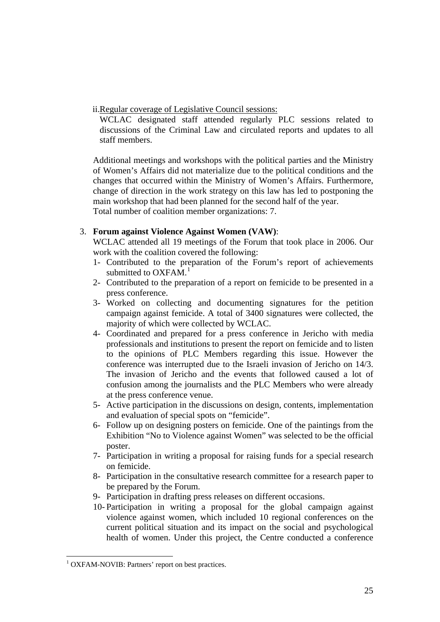ii.Regular coverage of Legislative Council sessions:

WCLAC designated staff attended regularly PLC sessions related to discussions of the Criminal Law and circulated reports and updates to all staff members.

Additional meetings and workshops with the political parties and the Ministry of Women's Affairs did not materialize due to the political conditions and the changes that occurred within the Ministry of Women's Affairs. Furthermore, change of direction in the work strategy on this law has led to postponing the main workshop that had been planned for the second half of the year. Total number of coalition member organizations: 7.

# 3. **Forum against Violence Against Women (VAW)**:

WCLAC attended all 19 meetings of the Forum that took place in 2006. Our work with the coalition covered the following:

- 1- Contributed to the preparation of the Forum's report of achievements submitted to  $OXFAM<sup>1</sup>$  $OXFAM<sup>1</sup>$  $OXFAM<sup>1</sup>$
- 2- Contributed to the preparation of a report on femicide to be presented in a press conference.
- 3- Worked on collecting and documenting signatures for the petition campaign against femicide. A total of 3400 signatures were collected, the majority of which were collected by WCLAC.
- 4- Coordinated and prepared for a press conference in Jericho with media professionals and institutions to present the report on femicide and to listen to the opinions of PLC Members regarding this issue. However the conference was interrupted due to the Israeli invasion of Jericho on 14/3. The invasion of Jericho and the events that followed caused a lot of confusion among the journalists and the PLC Members who were already at the press conference venue.
- 5- Active participation in the discussions on design, contents, implementation and evaluation of special spots on "femicide".
- 6- Follow up on designing posters on femicide. One of the paintings from the Exhibition "No to Violence against Women" was selected to be the official poster.
- 7- Participation in writing a proposal for raising funds for a special research on femicide.
- 8- Participation in the consultative research committee for a research paper to be prepared by the Forum.
- 9- Participation in drafting press releases on different occasions.
- 10- Participation in writing a proposal for the global campaign against violence against women, which included 10 regional conferences on the current political situation and its impact on the social and psychological health of women. Under this project, the Centre conducted a conference

1

<span id="page-24-0"></span><sup>&</sup>lt;sup>1</sup> OXFAM-NOVIB: Partners' report on best practices.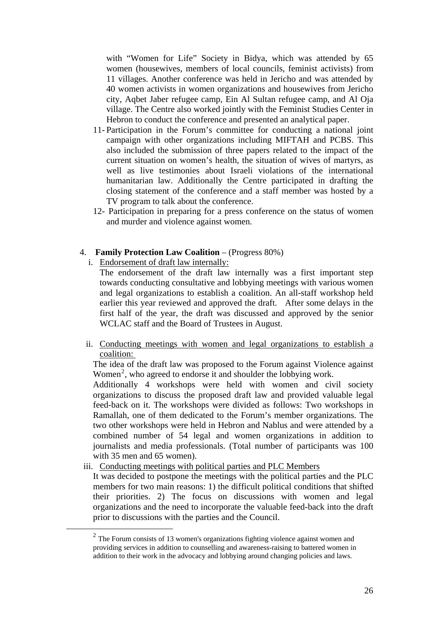with "Women for Life" Society in Bidya, which was attended by 65 women (housewives, members of local councils, feminist activists) from 11 villages. Another conference was held in Jericho and was attended by 40 women activists in women organizations and housewives from Jericho city, Aqbet Jaber refugee camp, Ein Al Sultan refugee camp, and Al Oja village. The Centre also worked jointly with the Feminist Studies Center in Hebron to conduct the conference and presented an analytical paper.

- 11- Participation in the Forum's committee for conducting a national joint campaign with other organizations including MIFTAH and PCBS. This also included the submission of three papers related to the impact of the current situation on women's health, the situation of wives of martyrs, as well as live testimonies about Israeli violations of the international humanitarian law. Additionally the Centre participated in drafting the closing statement of the conference and a staff member was hosted by a TV program to talk about the conference.
- 12- Participation in preparing for a press conference on the status of women and murder and violence against women.
- 4. **Family Protection Law Coalition** (Progress 80%)
	- i. Endorsement of draft law internally:

The endorsement of the draft law internally was a first important step towards conducting consultative and lobbying meetings with various women and legal organizations to establish a coalition. An all-staff workshop held earlier this year reviewed and approved the draft. After some delays in the first half of the year, the draft was discussed and approved by the senior WCLAC staff and the Board of Trustees in August.

ii. Conducting meetings with women and legal organizations to establish a coalition:

The idea of the draft law was proposed to the Forum against Violence against Women<sup>[2](#page-25-0)</sup>, who agreed to endorse it and shoulder the lobbying work.

Additionally 4 workshops were held with women and civil society organizations to discuss the proposed draft law and provided valuable legal feed-back on it. The workshops were divided as follows: Two workshops in Ramallah, one of them dedicated to the Forum's member organizations. The two other workshops were held in Hebron and Nablus and were attended by a combined number of 54 legal and women organizations in addition to journalists and media professionals. (Total number of participants was 100 with 35 men and 65 women).

iii. Conducting meetings with political parties and PLC Members

It was decided to postpone the meetings with the political parties and the PLC members for two main reasons: 1) the difficult political conditions that shifted their priorities. 2) The focus on discussions with women and legal organizations and the need to incorporate the valuable feed-back into the draft prior to discussions with the parties and the Council.

<span id="page-25-0"></span><sup>&</sup>lt;sup>2</sup> The Forum consists of 13 women's organizations fighting violence against women and providing services in addition to counselling and awareness-raising to battered women in addition to their work in the advocacy and lobbying around changing policies and laws.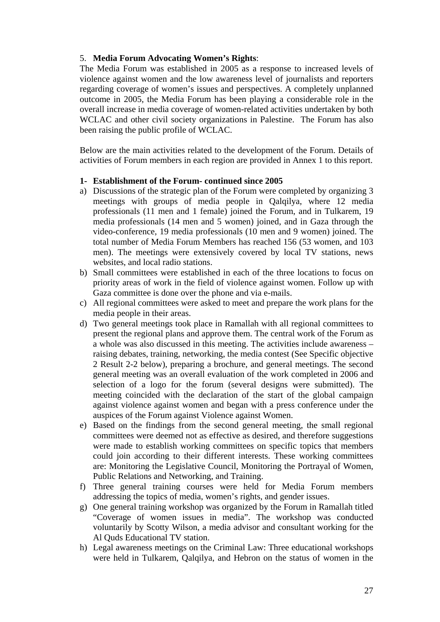# 5. **Media Forum Advocating Women's Rights**:

The Media Forum was established in 2005 as a response to increased levels of violence against women and the low awareness level of journalists and reporters regarding coverage of women's issues and perspectives. A completely unplanned outcome in 2005, the Media Forum has been playing a considerable role in the overall increase in media coverage of women-related activities undertaken by both WCLAC and other civil society organizations in Palestine. The Forum has also been raising the public profile of WCLAC.

Below are the main activities related to the development of the Forum. Details of activities of Forum members in each region are provided in Annex 1 to this report.

# **1- Establishment of the Forum- continued since 2005**

- a) Discussions of the strategic plan of the Forum were completed by organizing 3 meetings with groups of media people in Qalqilya, where 12 media professionals (11 men and 1 female) joined the Forum, and in Tulkarem, 19 media professionals (14 men and 5 women) joined, and in Gaza through the video-conference, 19 media professionals (10 men and 9 women) joined. The total number of Media Forum Members has reached 156 (53 women, and 103 men). The meetings were extensively covered by local TV stations, news websites, and local radio stations.
- b) Small committees were established in each of the three locations to focus on priority areas of work in the field of violence against women. Follow up with Gaza committee is done over the phone and via e-mails.
- c) All regional committees were asked to meet and prepare the work plans for the media people in their areas.
- d) Two general meetings took place in Ramallah with all regional committees to present the regional plans and approve them. The central work of the Forum as a whole was also discussed in this meeting. The activities include awareness – raising debates, training, networking, the media contest (See Specific objective 2 Result 2-2 below), preparing a brochure, and general meetings. The second general meeting was an overall evaluation of the work completed in 2006 and selection of a logo for the forum (several designs were submitted). The meeting coincided with the declaration of the start of the global campaign against violence against women and began with a press conference under the auspices of the Forum against Violence against Women.
- e) Based on the findings from the second general meeting, the small regional committees were deemed not as effective as desired, and therefore suggestions were made to establish working committees on specific topics that members could join according to their different interests. These working committees are: Monitoring the Legislative Council, Monitoring the Portrayal of Women, Public Relations and Networking, and Training.
- f) Three general training courses were held for Media Forum members addressing the topics of media, women's rights, and gender issues.
- g) One general training workshop was organized by the Forum in Ramallah titled "Coverage of women issues in media". The workshop was conducted voluntarily by Scotty Wilson, a media advisor and consultant working for the Al Quds Educational TV station.
- h) Legal awareness meetings on the Criminal Law: Three educational workshops were held in Tulkarem, Qalqilya, and Hebron on the status of women in the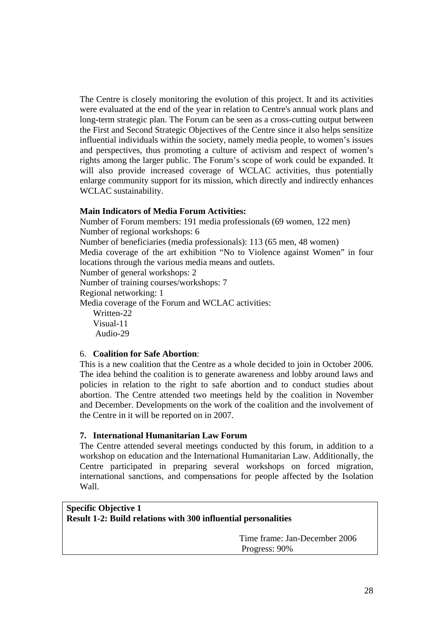The Centre is closely monitoring the evolution of this project. It and its activities were evaluated at the end of the year in relation to Centre's annual work plans and long-term strategic plan. The Forum can be seen as a cross-cutting output between the First and Second Strategic Objectives of the Centre since it also helps sensitize influential individuals within the society, namely media people, to women's issues and perspectives, thus promoting a culture of activism and respect of women's rights among the larger public. The Forum's scope of work could be expanded. It will also provide increased coverage of WCLAC activities, thus potentially enlarge community support for its mission, which directly and indirectly enhances WCLAC sustainability.

# **Main Indicators of Media Forum Activities:**

Number of Forum members: 191 media professionals (69 women, 122 men) Number of regional workshops: 6 Number of beneficiaries (media professionals): 113 (65 men, 48 women) Media coverage of the art exhibition "No to Violence against Women" in four locations through the various media means and outlets. Number of general workshops: 2

Number of training courses/workshops: 7

Regional networking: 1

Media coverage of the Forum and WCLAC activities:

Written-22 Visual-11 Audio-29

#### 6. **Coalition for Safe Abortion**:

This is a new coalition that the Centre as a whole decided to join in October 2006. The idea behind the coalition is to generate awareness and lobby around laws and policies in relation to the right to safe abortion and to conduct studies about abortion. The Centre attended two meetings held by the coalition in November and December. Developments on the work of the coalition and the involvement of the Centre in it will be reported on in 2007.

#### **7. International Humanitarian Law Forum**

The Centre attended several meetings conducted by this forum, in addition to a workshop on education and the International Humanitarian Law. Additionally, the Centre participated in preparing several workshops on forced migration, international sanctions, and compensations for people affected by the Isolation Wall.

# **Specific Objective 1 Result 1-2: Build relations with 300 influential personalities**

 Time frame: Jan-December 2006 Progress: 90%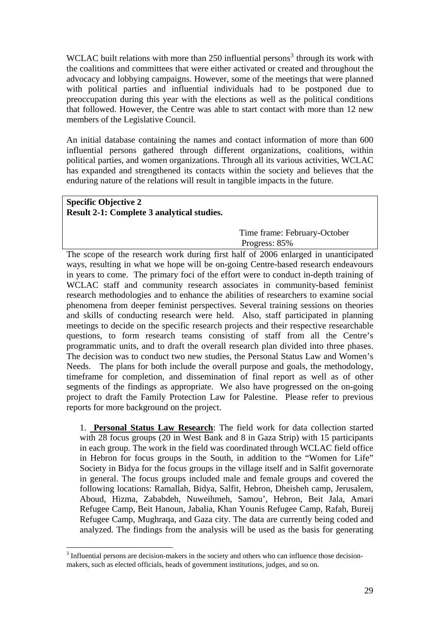WCLAC built relations with more than  $250$  influential persons<sup>[3](#page-28-0)</sup> through its work with the coalitions and committees that were either activated or created and throughout the advocacy and lobbying campaigns. However, some of the meetings that were planned with political parties and influential individuals had to be postponed due to preoccupation during this year with the elections as well as the political conditions that followed. However, the Centre was able to start contact with more than 12 new members of the Legislative Council.

An initial database containing the names and contact information of more than 600 influential persons gathered through different organizations, coalitions, within political parties, and women organizations. Through all its various activities, WCLAC has expanded and strengthened its contacts within the society and believes that the enduring nature of the relations will result in tangible impacts in the future.

# **Specific Objective 2 Result 2-1: Complete 3 analytical studies.**

<u>.</u>

 Time frame: February-October Progress: 85%

The scope of the research work during first half of 2006 enlarged in unanticipated ways, resulting in what we hope will be on-going Centre-based research endeavours in years to come. The primary foci of the effort were to conduct in-depth training of WCLAC staff and community research associates in community-based feminist research methodologies and to enhance the abilities of researchers to examine social phenomena from deeper feminist perspectives. Several training sessions on theories and skills of conducting research were held. Also, staff participated in planning meetings to decide on the specific research projects and their respective researchable questions, to form research teams consisting of staff from all the Centre's programmatic units, and to draft the overall research plan divided into three phases. The decision was to conduct two new studies, the Personal Status Law and Women's Needs. The plans for both include the overall purpose and goals, the methodology, timeframe for completion, and dissemination of final report as well as of other segments of the findings as appropriate. We also have progressed on the on-going project to draft the Family Protection Law for Palestine. Please refer to previous reports for more background on the project.

1. **Personal Status Law Research**: The field work for data collection started with 28 focus groups (20 in West Bank and 8 in Gaza Strip) with 15 participants in each group. The work in the field was coordinated through WCLAC field office in Hebron for focus groups in the South, in addition to the "Women for Life" Society in Bidya for the focus groups in the village itself and in Salfit governorate in general. The focus groups included male and female groups and covered the following locations: Ramallah, Bidya, Salfit, Hebron, Dheisheh camp, Jerusalem, Aboud, Hizma, Zababdeh, Nuweihmeh, Samou', Hebron, Beit Jala, Amari Refugee Camp, Beit Hanoun, Jabalia, Khan Younis Refugee Camp, Rafah, Bureij Refugee Camp, Mughraqa, and Gaza city. The data are currently being coded and analyzed. The findings from the analysis will be used as the basis for generating

<span id="page-28-0"></span><sup>&</sup>lt;sup>3</sup> Influential persons are decision-makers in the society and others who can influence those decisionmakers, such as elected officials, heads of government institutions, judges, and so on.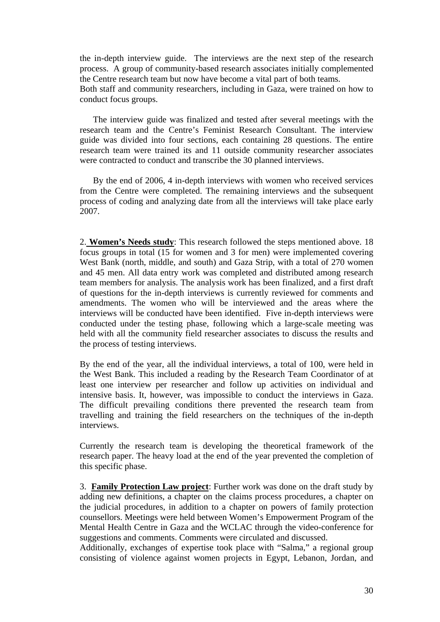the in-depth interview guide. The interviews are the next step of the research process. A group of community-based research associates initially complemented the Centre research team but now have become a vital part of both teams. Both staff and community researchers, including in Gaza, were trained on how to conduct focus groups.

 The interview guide was finalized and tested after several meetings with the research team and the Centre's Feminist Research Consultant. The interview guide was divided into four sections, each containing 28 questions. The entire research team were trained its and 11 outside community researcher associates were contracted to conduct and transcribe the 30 planned interviews.

 By the end of 2006, 4 in-depth interviews with women who received services from the Centre were completed. The remaining interviews and the subsequent process of coding and analyzing date from all the interviews will take place early 2007.

2. **Women's Needs study**: This research followed the steps mentioned above. 18 focus groups in total (15 for women and 3 for men) were implemented covering West Bank (north, middle, and south) and Gaza Strip, with a total of 270 women and 45 men. All data entry work was completed and distributed among research team members for analysis. The analysis work has been finalized, and a first draft of questions for the in-depth interviews is currently reviewed for comments and amendments. The women who will be interviewed and the areas where the interviews will be conducted have been identified. Five in-depth interviews were conducted under the testing phase, following which a large-scale meeting was held with all the community field researcher associates to discuss the results and the process of testing interviews.

By the end of the year, all the individual interviews, a total of 100, were held in the West Bank. This included a reading by the Research Team Coordinator of at least one interview per researcher and follow up activities on individual and intensive basis. It, however, was impossible to conduct the interviews in Gaza. The difficult prevailing conditions there prevented the research team from travelling and training the field researchers on the techniques of the in-depth interviews.

Currently the research team is developing the theoretical framework of the research paper. The heavy load at the end of the year prevented the completion of this specific phase.

3. **Family Protection Law project**: Further work was done on the draft study by adding new definitions, a chapter on the claims process procedures, a chapter on the judicial procedures, in addition to a chapter on powers of family protection counsellors. Meetings were held between Women's Empowerment Program of the Mental Health Centre in Gaza and the WCLAC through the video-conference for suggestions and comments. Comments were circulated and discussed.

Additionally, exchanges of expertise took place with "Salma," a regional group consisting of violence against women projects in Egypt, Lebanon, Jordan, and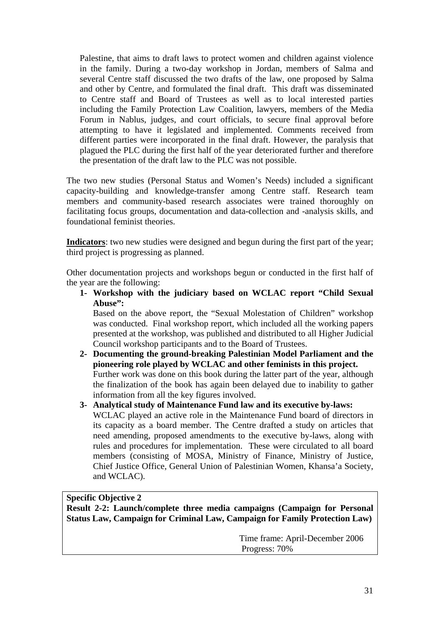Palestine, that aims to draft laws to protect women and children against violence in the family. During a two-day workshop in Jordan, members of Salma and several Centre staff discussed the two drafts of the law, one proposed by Salma and other by Centre, and formulated the final draft. This draft was disseminated to Centre staff and Board of Trustees as well as to local interested parties including the Family Protection Law Coalition, lawyers, members of the Media Forum in Nablus, judges, and court officials, to secure final approval before attempting to have it legislated and implemented. Comments received from different parties were incorporated in the final draft. However, the paralysis that plagued the PLC during the first half of the year deteriorated further and therefore the presentation of the draft law to the PLC was not possible.

The two new studies (Personal Status and Women's Needs) included a significant capacity-building and knowledge-transfer among Centre staff. Research team members and community-based research associates were trained thoroughly on facilitating focus groups, documentation and data-collection and -analysis skills, and foundational feminist theories.

**Indicators**: two new studies were designed and begun during the first part of the year; third project is progressing as planned.

Other documentation projects and workshops begun or conducted in the first half of the year are the following:

**1- Workshop with the judiciary based on WCLAC report "Child Sexual Abuse":** 

Based on the above report, the "Sexual Molestation of Children" workshop was conducted. Final workshop report, which included all the working papers presented at the workshop, was published and distributed to all Higher Judicial Council workshop participants and to the Board of Trustees.

- **2- Documenting the ground-breaking Palestinian Model Parliament and the pioneering role played by WCLAC and other feminists in this project.**  Further work was done on this book during the latter part of the year, although the finalization of the book has again been delayed due to inability to gather information from all the key figures involved.
- **3- Analytical study of Maintenance Fund law and its executive by-laws:**  WCLAC played an active role in the Maintenance Fund board of directors in its capacity as a board member. The Centre drafted a study on articles that need amending, proposed amendments to the executive by-laws, along with rules and procedures for implementation. These were circulated to all board members (consisting of MOSA, Ministry of Finance, Ministry of Justice, Chief Justice Office, General Union of Palestinian Women, Khansa'a Society, and WCLAC).

# **Specific Objective 2**

**Result 2-2: Launch/complete three media campaigns (Campaign for Personal Status Law, Campaign for Criminal Law, Campaign for Family Protection Law)** 

> Time frame: April-December 2006 Progress: 70%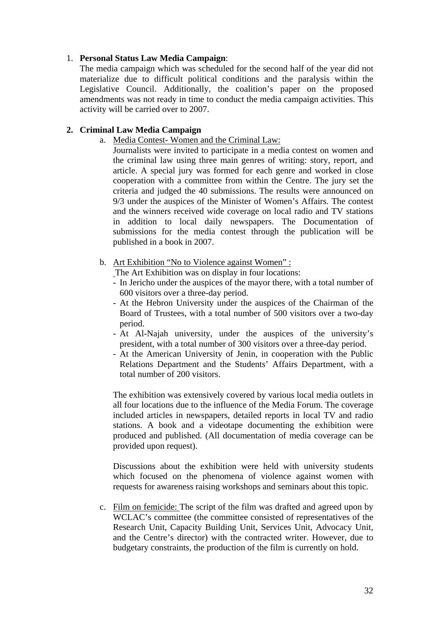# 1. **Personal Status Law Media Campaign**:

The media campaign which was scheduled for the second half of the year did not materialize due to difficult political conditions and the paralysis within the Legislative Council. Additionally, the coalition's paper on the proposed amendments was not ready in time to conduct the media campaign activities. This activity will be carried over to 2007.

# **2. Criminal Law Media Campaign**

a. Media Contest- Women and the Criminal Law:

Journalists were invited to participate in a media contest on women and the criminal law using three main genres of writing: story, report, and article. A special jury was formed for each genre and worked in close cooperation with a committee from within the Centre. The jury set the criteria and judged the 40 submissions. The results were announced on 9/3 under the auspices of the Minister of Women's Affairs. The contest and the winners received wide coverage on local radio and TV stations in addition to local daily newspapers. The Documentation of submissions for the media contest through the publication will be published in a book in 2007.

b. Art Exhibition "No to Violence against Women" :

The Art Exhibition was on display in four locations:

- In Jericho under the auspices of the mayor there, with a total number of 600 visitors over a three-day period.
- At the Hebron University under the auspices of the Chairman of the Board of Trustees, with a total number of 500 visitors over a two-day period.
- At Al-Najah university, under the auspices of the university's president, with a total number of 300 visitors over a three-day period.
- At the American University of Jenin, in cooperation with the Public Relations Department and the Students' Affairs Department, with a total number of 200 visitors.

The exhibition was extensively covered by various local media outlets in all four locations due to the influence of the Media Forum. The coverage included articles in newspapers, detailed reports in local TV and radio stations. A book and a videotape documenting the exhibition were produced and published. (All documentation of media coverage can be provided upon request).

Discussions about the exhibition were held with university students which focused on the phenomena of violence against women with requests for awareness raising workshops and seminars about this topic.

c. Film on femicide: The script of the film was drafted and agreed upon by WCLAC's committee (the committee consisted of representatives of the Research Unit, Capacity Building Unit, Services Unit, Advocacy Unit, and the Centre's director) with the contracted writer. However, due to budgetary constraints, the production of the film is currently on hold.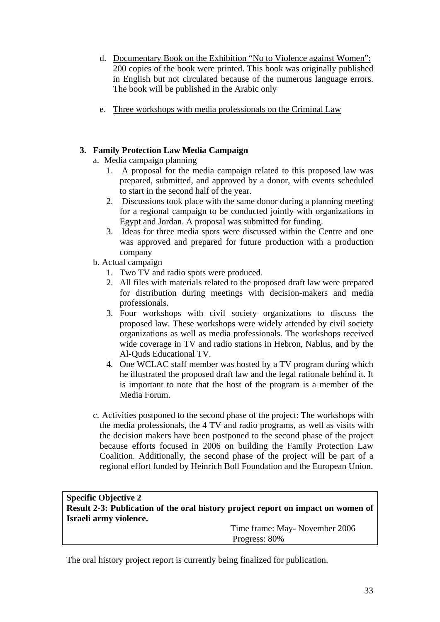- d. Documentary Book on the Exhibition "No to Violence against Women": 200 copies of the book were printed. This book was originally published in English but not circulated because of the numerous language errors. The book will be published in the Arabic only
- e. Three workshops with media professionals on the Criminal Law

# **3. Family Protection Law Media Campaign**

- a. Media campaign planning
	- 1. A proposal for the media campaign related to this proposed law was prepared, submitted, and approved by a donor, with events scheduled to start in the second half of the year.
	- 2. Discussions took place with the same donor during a planning meeting for a regional campaign to be conducted jointly with organizations in Egypt and Jordan. A proposal was submitted for funding.
	- 3. Ideas for three media spots were discussed within the Centre and one was approved and prepared for future production with a production company
- b. Actual campaign
	- 1. Two TV and radio spots were produced.
	- 2. All files with materials related to the proposed draft law were prepared for distribution during meetings with decision-makers and media professionals.
	- 3. Four workshops with civil society organizations to discuss the proposed law. These workshops were widely attended by civil society organizations as well as media professionals. The workshops received wide coverage in TV and radio stations in Hebron, Nablus, and by the Al-Quds Educational TV.
	- 4. One WCLAC staff member was hosted by a TV program during which he illustrated the proposed draft law and the legal rationale behind it. It is important to note that the host of the program is a member of the Media Forum.
- c. Activities postponed to the second phase of the project: The workshops with the media professionals, the 4 TV and radio programs, as well as visits with the decision makers have been postponed to the second phase of the project because efforts focused in 2006 on building the Family Protection Law Coalition. Additionally, the second phase of the project will be part of a regional effort funded by Heinrich Boll Foundation and the European Union.

| <b>Specific Objective 2</b> |                                                                                  |
|-----------------------------|----------------------------------------------------------------------------------|
|                             | Result 2-3: Publication of the oral history project report on impact on women of |
| Israeli army violence.      |                                                                                  |
|                             | Time frame: May-November 2006                                                    |
|                             | Progress: 80%                                                                    |

The oral history project report is currently being finalized for publication.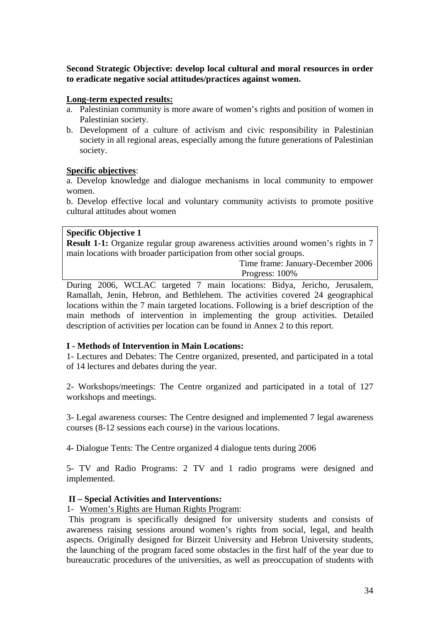**Second Strategic Objective: develop local cultural and moral resources in order to eradicate negative social attitudes/practices against women.** 

# **Long-term expected results:**

- a. Palestinian community is more aware of women's rights and position of women in Palestinian society.
- b. Development of a culture of activism and civic responsibility in Palestinian society in all regional areas, especially among the future generations of Palestinian society.

# **Specific objectives**:

a. Develop knowledge and dialogue mechanisms in local community to empower women.

b. Develop effective local and voluntary community activists to promote positive cultural attitudes about women

#### **Specific Objective 1**

**Result 1-1:** Organize regular group awareness activities around women's rights in 7 main locations with broader participation from other social groups.

> Time frame: January-December 2006 Progress: 100%

During 2006, WCLAC targeted 7 main locations: Bidya, Jericho, Jerusalem, Ramallah, Jenin, Hebron, and Bethlehem. The activities covered 24 geographical locations within the 7 main targeted locations. Following is a brief description of the main methods of intervention in implementing the group activities. Detailed description of activities per location can be found in Annex 2 to this report.

# **I - Methods of Intervention in Main Locations:**

1- Lectures and Debates: The Centre organized, presented, and participated in a total of 14 lectures and debates during the year.

2- Workshops/meetings: The Centre organized and participated in a total of 127 workshops and meetings.

3- Legal awareness courses: The Centre designed and implemented 7 legal awareness courses (8-12 sessions each course) in the various locations.

4- Dialogue Tents: The Centre organized 4 dialogue tents during 2006

5- TV and Radio Programs: 2 TV and 1 radio programs were designed and implemented.

# **II – Special Activities and Interventions:**

# 1- Women's Rights are Human Rights Program:

 This program is specifically designed for university students and consists of awareness raising sessions around women's rights from social, legal, and health aspects. Originally designed for Birzeit University and Hebron University students, the launching of the program faced some obstacles in the first half of the year due to bureaucratic procedures of the universities, as well as preoccupation of students with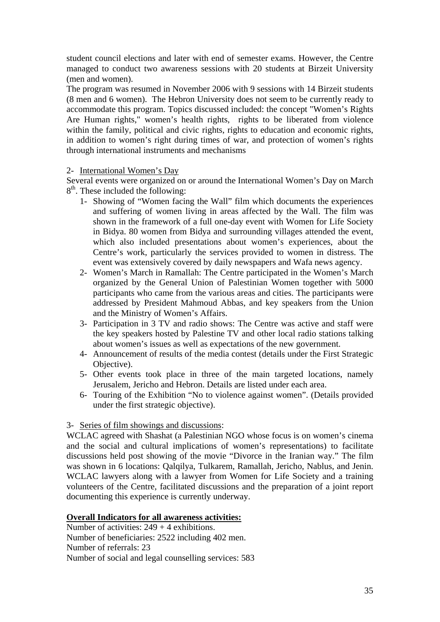student council elections and later with end of semester exams. However, the Centre managed to conduct two awareness sessions with 20 students at Birzeit University (men and women).

The program was resumed in November 2006 with 9 sessions with 14 Birzeit students (8 men and 6 women). The Hebron University does not seem to be currently ready to accommodate this program. Topics discussed included: the concept "Women's Rights Are Human rights," women's health rights, rights to be liberated from violence within the family, political and civic rights, rights to education and economic rights, in addition to women's right during times of war, and protection of women's rights through international instruments and mechanisms

# 2- International Women's Day

Several events were organized on or around the International Women's Day on March 8<sup>th</sup>. These included the following:

- 1- Showing of "Women facing the Wall" film which documents the experiences and suffering of women living in areas affected by the Wall. The film was shown in the framework of a full one-day event with Women for Life Society in Bidya. 80 women from Bidya and surrounding villages attended the event, which also included presentations about women's experiences, about the Centre's work, particularly the services provided to women in distress. The event was extensively covered by daily newspapers and Wafa news agency.
- 2- Women's March in Ramallah: The Centre participated in the Women's March organized by the General Union of Palestinian Women together with 5000 participants who came from the various areas and cities. The participants were addressed by President Mahmoud Abbas, and key speakers from the Union and the Ministry of Women's Affairs.
- 3- Participation in 3 TV and radio shows: The Centre was active and staff were the key speakers hosted by Palestine TV and other local radio stations talking about women's issues as well as expectations of the new government.
- 4- Announcement of results of the media contest (details under the First Strategic Objective).
- 5- Other events took place in three of the main targeted locations, namely Jerusalem, Jericho and Hebron. Details are listed under each area.
- 6- Touring of the Exhibition "No to violence against women". (Details provided under the first strategic objective).

# 3- Series of film showings and discussions:

WCLAC agreed with Shashat (a Palestinian NGO whose focus is on women's cinema and the social and cultural implications of women's representations) to facilitate discussions held post showing of the movie "Divorce in the Iranian way." The film was shown in 6 locations: Qalqilya, Tulkarem, Ramallah, Jericho, Nablus, and Jenin. WCLAC lawyers along with a lawyer from Women for Life Society and a training volunteers of the Centre, facilitated discussions and the preparation of a joint report documenting this experience is currently underway.

# **Overall Indicators for all awareness activities:**

Number of activities:  $249 + 4$  exhibitions. Number of beneficiaries: 2522 including 402 men. Number of referrals: 23 Number of social and legal counselling services: 583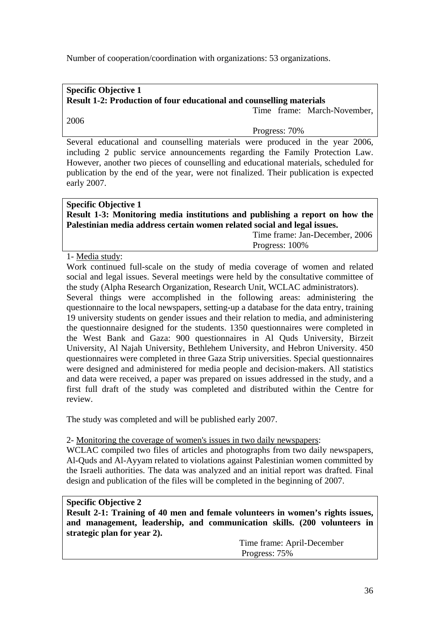Number of cooperation/coordination with organizations: 53 organizations.

# **Specific Objective 1 Result 1-2: Production of four educational and counselling materials**

Time frame: March-November,

# 2006

Progress: 70%

Several educational and counselling materials were produced in the year 2006, including 2 public service announcements regarding the Family Protection Law. However, another two pieces of counselling and educational materials, scheduled for publication by the end of the year, were not finalized. Their publication is expected early 2007.

| <b>Specific Objective 1</b>                                                  |
|------------------------------------------------------------------------------|
| Result 1-3: Monitoring media institutions and publishing a report on how the |
| Palestinian media address certain women related social and legal issues.     |
| Time frame: Jan-December, 2006                                               |

Progress: 100%

1- Media study:

Work continued full-scale on the study of media coverage of women and related social and legal issues. Several meetings were held by the consultative committee of the study (Alpha Research Organization, Research Unit, WCLAC administrators).

Several things were accomplished in the following areas: administering the questionnaire to the local newspapers, setting-up a database for the data entry, training 19 university students on gender issues and their relation to media, and administering the questionnaire designed for the students. 1350 questionnaires were completed in the West Bank and Gaza: 900 questionnaires in Al Quds University, Birzeit University, Al Najah University, Bethlehem University, and Hebron University. 450 questionnaires were completed in three Gaza Strip universities. Special questionnaires were designed and administered for media people and decision-makers. All statistics and data were received, a paper was prepared on issues addressed in the study, and a first full draft of the study was completed and distributed within the Centre for review.

The study was completed and will be published early 2007.

2- Monitoring the coverage of women's issues in two daily newspapers:

WCLAC compiled two files of articles and photographs from two daily newspapers, Al-Quds and Al-Ayyam related to violations against Palestinian women committed by the Israeli authorities. The data was analyzed and an initial report was drafted. Final design and publication of the files will be completed in the beginning of 2007.

# **Specific Objective 2**

**Result 2-1: Training of 40 men and female volunteers in women's rights issues, and management, leadership, and communication skills. (200 volunteers in strategic plan for year 2).** 

> Time frame: April-December Progress: 75%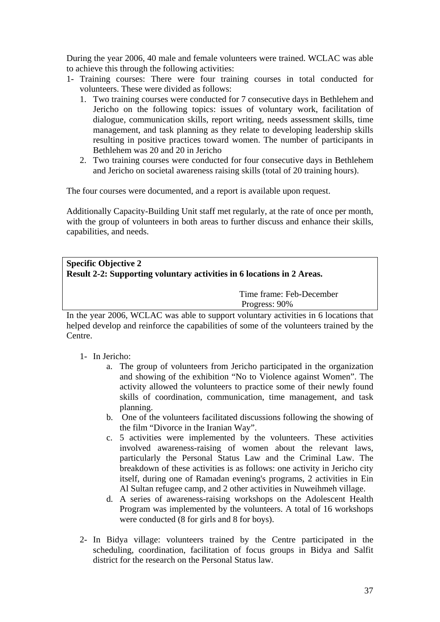During the year 2006, 40 male and female volunteers were trained. WCLAC was able to achieve this through the following activities:

- 1- Training courses: There were four training courses in total conducted for volunteers. These were divided as follows:
	- 1. Two training courses were conducted for 7 consecutive days in Bethlehem and Jericho on the following topics: issues of voluntary work, facilitation of dialogue, communication skills, report writing, needs assessment skills, time management, and task planning as they relate to developing leadership skills resulting in positive practices toward women. The number of participants in Bethlehem was 20 and 20 in Jericho
	- 2. Two training courses were conducted for four consecutive days in Bethlehem and Jericho on societal awareness raising skills (total of 20 training hours).

The four courses were documented, and a report is available upon request.

Additionally Capacity-Building Unit staff met regularly, at the rate of once per month, with the group of volunteers in both areas to further discuss and enhance their skills, capabilities, and needs.

# **Specific Objective 2 Result 2-2: Supporting voluntary activities in 6 locations in 2 Areas.**  Time frame: Feb-December Progress: 90%

In the year 2006, WCLAC was able to support voluntary activities in 6 locations that helped develop and reinforce the capabilities of some of the volunteers trained by the Centre.

# 1- In Jericho:

- a. The group of volunteers from Jericho participated in the organization and showing of the exhibition "No to Violence against Women". The activity allowed the volunteers to practice some of their newly found skills of coordination, communication, time management, and task planning.
- b. One of the volunteers facilitated discussions following the showing of the film "Divorce in the Iranian Way".
- c. 5 activities were implemented by the volunteers. These activities involved awareness-raising of women about the relevant laws, particularly the Personal Status Law and the Criminal Law. The breakdown of these activities is as follows: one activity in Jericho city itself, during one of Ramadan evening's programs, 2 activities in Ein Al Sultan refugee camp, and 2 other activities in Nuweihmeh village.
- d. A series of awareness-raising workshops on the Adolescent Health Program was implemented by the volunteers. A total of 16 workshops were conducted (8 for girls and 8 for boys).
- 2- In Bidya village: volunteers trained by the Centre participated in the scheduling, coordination, facilitation of focus groups in Bidya and Salfit district for the research on the Personal Status law.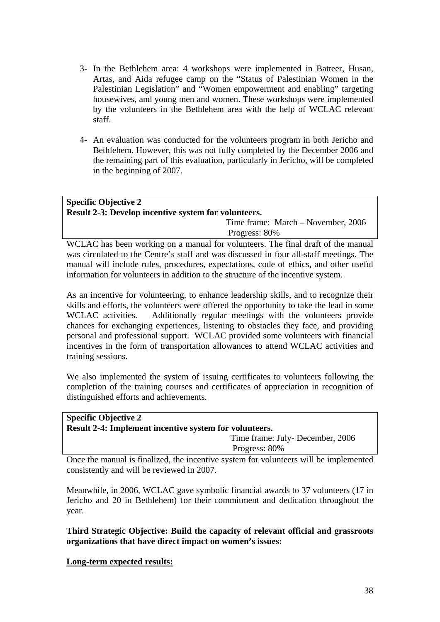- 3- In the Bethlehem area: 4 workshops were implemented in Batteer, Husan, Artas, and Aida refugee camp on the "Status of Palestinian Women in the Palestinian Legislation" and "Women empowerment and enabling" targeting housewives, and young men and women. These workshops were implemented by the volunteers in the Bethlehem area with the help of WCLAC relevant staff.
- 4- An evaluation was conducted for the volunteers program in both Jericho and Bethlehem. However, this was not fully completed by the December 2006 and the remaining part of this evaluation, particularly in Jericho, will be completed in the beginning of 2007.

# **Specific Objective 2 Result 2-3: Develop incentive system for volunteers.**  Time frame: March – November, 2006 Progress: 80%

WCLAC has been working on a manual for volunteers. The final draft of the manual was circulated to the Centre's staff and was discussed in four all-staff meetings. The manual will include rules, procedures, expectations, code of ethics, and other useful information for volunteers in addition to the structure of the incentive system.

As an incentive for volunteering, to enhance leadership skills, and to recognize their skills and efforts, the volunteers were offered the opportunity to take the lead in some WCLAC activities. Additionally regular meetings with the volunteers provide chances for exchanging experiences, listening to obstacles they face, and providing personal and professional support. WCLAC provided some volunteers with financial incentives in the form of transportation allowances to attend WCLAC activities and training sessions.

We also implemented the system of issuing certificates to volunteers following the completion of the training courses and certificates of appreciation in recognition of distinguished efforts and achievements.

| <b>Specific Objective 2</b>                                                           |                                 |  |
|---------------------------------------------------------------------------------------|---------------------------------|--|
| Result 2-4: Implement incentive system for volunteers.                                |                                 |  |
|                                                                                       | Time frame: July-December, 2006 |  |
|                                                                                       | Progress: 80%                   |  |
| Once the menual is finalized, the incentive system for voluntages will be implemented |                                 |  |

Once the manual is finalized, the incentive system for volunteers will be implemented consistently and will be reviewed in 2007.

Meanwhile, in 2006, WCLAC gave symbolic financial awards to 37 volunteers (17 in Jericho and 20 in Bethlehem) for their commitment and dedication throughout the year.

**Third Strategic Objective: Build the capacity of relevant official and grassroots organizations that have direct impact on women's issues:** 

**Long-term expected results:**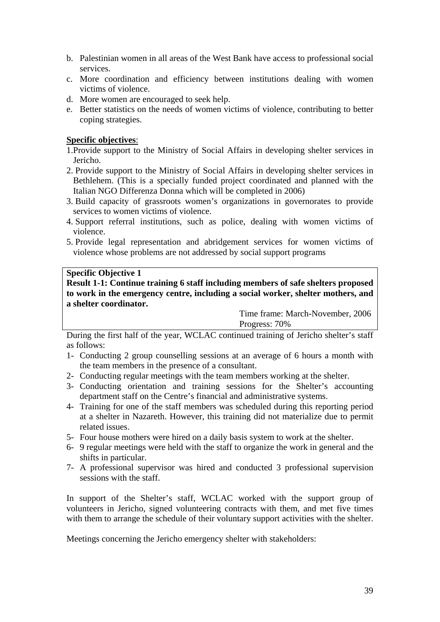- b. Palestinian women in all areas of the West Bank have access to professional social services.
- c. More coordination and efficiency between institutions dealing with women victims of violence.
- d. More women are encouraged to seek help.
- e. Better statistics on the needs of women victims of violence, contributing to better coping strategies.

# **Specific objectives**:

1.Provide support to the Ministry of Social Affairs in developing shelter services in Jericho.

- 2. Provide support to the Ministry of Social Affairs in developing shelter services in Bethlehem. (This is a specially funded project coordinated and planned with the Italian NGO Differenza Donna which will be completed in 2006)
- 3. Build capacity of grassroots women's organizations in governorates to provide services to women victims of violence.
- 4. Support referral institutions, such as police, dealing with women victims of violence.
- 5. Provide legal representation and abridgement services for women victims of violence whose problems are not addressed by social support programs

# **Specific Objective 1**

**Result 1-1: Continue training 6 staff including members of safe shelters proposed to work in the emergency centre, including a social worker, shelter mothers, and a shelter coordinator.** 

 Time frame: March-November, 2006 Progress: 70%

During the first half of the year, WCLAC continued training of Jericho shelter's staff as follows:

- 1- Conducting 2 group counselling sessions at an average of 6 hours a month with the team members in the presence of a consultant.
- 2- Conducting regular meetings with the team members working at the shelter.
- 3- Conducting orientation and training sessions for the Shelter's accounting department staff on the Centre's financial and administrative systems.
- 4- Training for one of the staff members was scheduled during this reporting period at a shelter in Nazareth. However, this training did not materialize due to permit related issues.
- 5- Four house mothers were hired on a daily basis system to work at the shelter.
- 6- 9 regular meetings were held with the staff to organize the work in general and the shifts in particular.
- 7- A professional supervisor was hired and conducted 3 professional supervision sessions with the staff.

In support of the Shelter's staff, WCLAC worked with the support group of volunteers in Jericho, signed volunteering contracts with them, and met five times with them to arrange the schedule of their voluntary support activities with the shelter.

Meetings concerning the Jericho emergency shelter with stakeholders: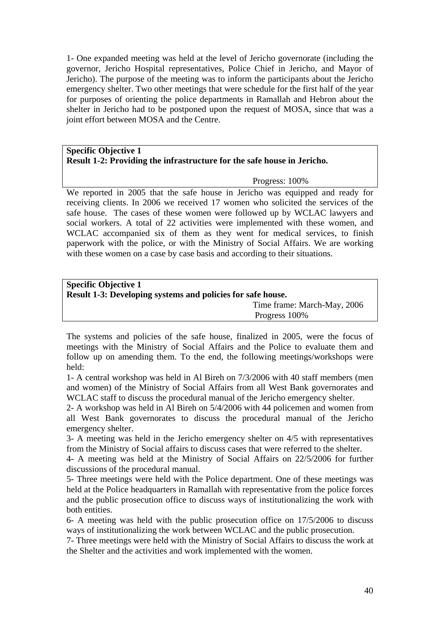1- One expanded meeting was held at the level of Jericho governorate (including the governor, Jericho Hospital representatives, Police Chief in Jericho, and Mayor of Jericho). The purpose of the meeting was to inform the participants about the Jericho emergency shelter. Two other meetings that were schedule for the first half of the year for purposes of orienting the police departments in Ramallah and Hebron about the shelter in Jericho had to be postponed upon the request of MOSA, since that was a joint effort between MOSA and the Centre.

# **Specific Objective 1 Result 1-2: Providing the infrastructure for the safe house in Jericho.**

Progress: 100%

We reported in 2005 that the safe house in Jericho was equipped and ready for receiving clients. In 2006 we received 17 women who solicited the services of the safe house. The cases of these women were followed up by WCLAC lawyers and social workers. A total of 22 activities were implemented with these women, and WCLAC accompanied six of them as they went for medical services, to finish paperwork with the police, or with the Ministry of Social Affairs. We are working with these women on a case by case basis and according to their situations.

| <b>Specific Objective 1</b>                                 |                             |  |  |
|-------------------------------------------------------------|-----------------------------|--|--|
| Result 1-3: Developing systems and policies for safe house. |                             |  |  |
|                                                             | Time frame: March-May, 2006 |  |  |
|                                                             | Progress 100%               |  |  |

The systems and policies of the safe house, finalized in 2005, were the focus of meetings with the Ministry of Social Affairs and the Police to evaluate them and follow up on amending them. To the end, the following meetings/workshops were held:

1- A central workshop was held in Al Bireh on 7/3/2006 with 40 staff members (men and women) of the Ministry of Social Affairs from all West Bank governorates and WCLAC staff to discuss the procedural manual of the Jericho emergency shelter.

2- A workshop was held in Al Bireh on 5/4/2006 with 44 policemen and women from all West Bank governorates to discuss the procedural manual of the Jericho emergency shelter.

3- A meeting was held in the Jericho emergency shelter on 4/5 with representatives from the Ministry of Social affairs to discuss cases that were referred to the shelter.

4- A meeting was held at the Ministry of Social Affairs on 22/5/2006 for further discussions of the procedural manual.

5- Three meetings were held with the Police department. One of these meetings was held at the Police headquarters in Ramallah with representative from the police forces and the public prosecution office to discuss ways of institutionalizing the work with both entities.

6- A meeting was held with the public prosecution office on 17/5/2006 to discuss ways of institutionalizing the work between WCLAC and the public prosecution.

7- Three meetings were held with the Ministry of Social Affairs to discuss the work at the Shelter and the activities and work implemented with the women.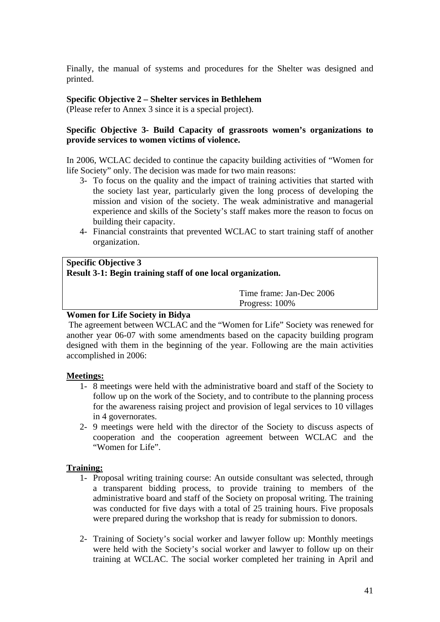Finally, the manual of systems and procedures for the Shelter was designed and printed.

# **Specific Objective 2 – Shelter services in Bethlehem**

(Please refer to Annex 3 since it is a special project).

# **Specific Objective 3- Build Capacity of grassroots women's organizations to provide services to women victims of violence.**

In 2006, WCLAC decided to continue the capacity building activities of "Women for life Society" only. The decision was made for two main reasons:

- 3- To focus on the quality and the impact of training activities that started with the society last year, particularly given the long process of developing the mission and vision of the society. The weak administrative and managerial experience and skills of the Society's staff makes more the reason to focus on building their capacity.
- 4- Financial constraints that prevented WCLAC to start training staff of another organization.

# **Specific Objective 3 Result 3-1: Begin training staff of one local organization.**

 Time frame: Jan-Dec 2006 Progress: 100%

# **Women for Life Society in Bidya**

The agreement between WCLAC and the "Women for Life" Society was renewed for another year 06-07 with some amendments based on the capacity building program designed with them in the beginning of the year. Following are the main activities accomplished in 2006:

# **Meetings:**

- 1- 8 meetings were held with the administrative board and staff of the Society to follow up on the work of the Society, and to contribute to the planning process for the awareness raising project and provision of legal services to 10 villages in 4 governorates.
- 2- 9 meetings were held with the director of the Society to discuss aspects of cooperation and the cooperation agreement between WCLAC and the "Women for Life".

# **Training:**

- 1- Proposal writing training course: An outside consultant was selected, through a transparent bidding process, to provide training to members of the administrative board and staff of the Society on proposal writing. The training was conducted for five days with a total of 25 training hours. Five proposals were prepared during the workshop that is ready for submission to donors.
- 2- Training of Society's social worker and lawyer follow up: Monthly meetings were held with the Society's social worker and lawyer to follow up on their training at WCLAC. The social worker completed her training in April and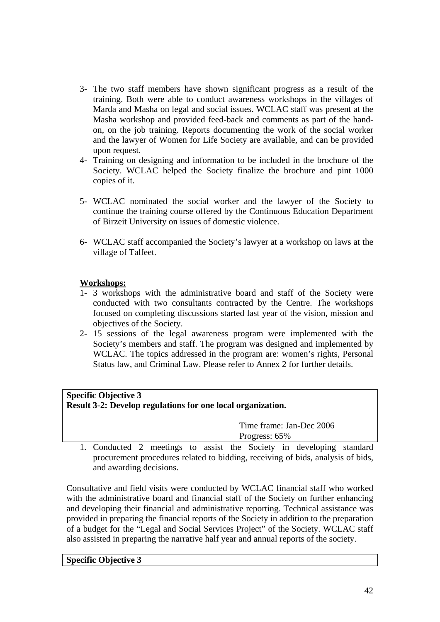- 3- The two staff members have shown significant progress as a result of the training. Both were able to conduct awareness workshops in the villages of Marda and Masha on legal and social issues. WCLAC staff was present at the Masha workshop and provided feed-back and comments as part of the handon, on the job training. Reports documenting the work of the social worker and the lawyer of Women for Life Society are available, and can be provided upon request.
- 4- Training on designing and information to be included in the brochure of the Society. WCLAC helped the Society finalize the brochure and pint 1000 copies of it.
- 5- WCLAC nominated the social worker and the lawyer of the Society to continue the training course offered by the Continuous Education Department of Birzeit University on issues of domestic violence.
- 6- WCLAC staff accompanied the Society's lawyer at a workshop on laws at the village of Talfeet.

# **Workshops:**

- 1- 3 workshops with the administrative board and staff of the Society were conducted with two consultants contracted by the Centre. The workshops focused on completing discussions started last year of the vision, mission and objectives of the Society.
- 2- 15 sessions of the legal awareness program were implemented with the Society's members and staff. The program was designed and implemented by WCLAC. The topics addressed in the program are: women's rights, Personal Status law, and Criminal Law. Please refer to Annex 2 for further details.

| <b>Specific Objective 3</b>                                 |  |  |               |                                                                  |  |
|-------------------------------------------------------------|--|--|---------------|------------------------------------------------------------------|--|
| Result 3-2: Develop regulations for one local organization. |  |  |               |                                                                  |  |
|                                                             |  |  |               | Time frame: Jan-Dec 2006                                         |  |
|                                                             |  |  | Progress: 65% |                                                                  |  |
|                                                             |  |  |               | Conducted 2 meetings to assist the Society in developing standar |  |

1. Conducted 2 meetings to assist the Society in developing standard procurement procedures related to bidding, receiving of bids, analysis of bids, and awarding decisions.

Consultative and field visits were conducted by WCLAC financial staff who worked with the administrative board and financial staff of the Society on further enhancing and developing their financial and administrative reporting. Technical assistance was provided in preparing the financial reports of the Society in addition to the preparation of a budget for the "Legal and Social Services Project" of the Society. WCLAC staff also assisted in preparing the narrative half year and annual reports of the society.

#### **Specific Objective 3**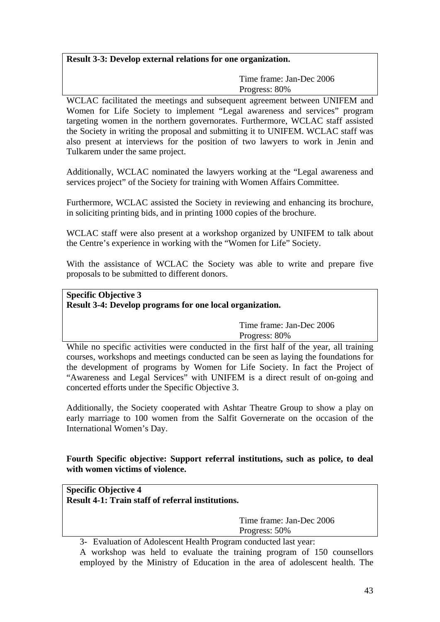# **Result 3-3: Develop external relations for one organization.**

 Time frame: Jan-Dec 2006 Progress: 80%

WCLAC facilitated the meetings and subsequent agreement between UNIFEM and Women for Life Society to implement "Legal awareness and services" program targeting women in the northern governorates. Furthermore, WCLAC staff assisted the Society in writing the proposal and submitting it to UNIFEM. WCLAC staff was also present at interviews for the position of two lawyers to work in Jenin and Tulkarem under the same project.

Additionally, WCLAC nominated the lawyers working at the "Legal awareness and services project" of the Society for training with Women Affairs Committee.

Furthermore, WCLAC assisted the Society in reviewing and enhancing its brochure, in soliciting printing bids, and in printing 1000 copies of the brochure.

WCLAC staff were also present at a workshop organized by UNIFEM to talk about the Centre's experience in working with the "Women for Life" Society.

With the assistance of WCLAC the Society was able to write and prepare five proposals to be submitted to different donors.

# **Specific Objective 3 Result 3-4: Develop programs for one local organization.**

 Time frame: Jan-Dec 2006 Progress: 80%

While no specific activities were conducted in the first half of the year, all training courses, workshops and meetings conducted can be seen as laying the foundations for the development of programs by Women for Life Society. In fact the Project of "Awareness and Legal Services" with UNIFEM is a direct result of on-going and concerted efforts under the Specific Objective 3.

Additionally, the Society cooperated with Ashtar Theatre Group to show a play on early marriage to 100 women from the Salfit Governerate on the occasion of the International Women's Day.

# **Fourth Specific objective: Support referral institutions, such as police, to deal with women victims of violence.**

**Specific Objective 4 Result 4-1: Train staff of referral institutions.** 

> Time frame: Jan-Dec 2006 Progress: 50%

3- Evaluation of Adolescent Health Program conducted last year:

A workshop was held to evaluate the training program of 150 counsellors employed by the Ministry of Education in the area of adolescent health. The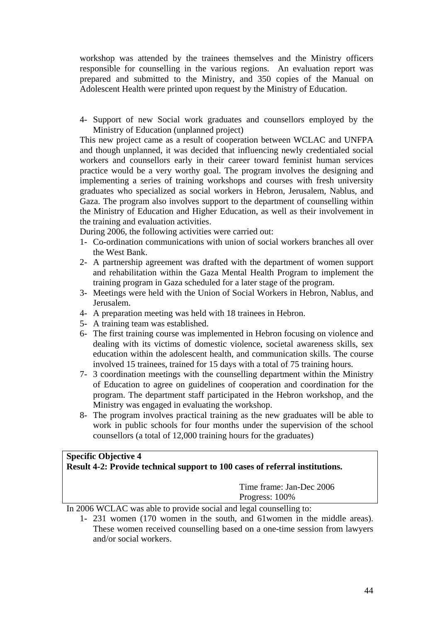workshop was attended by the trainees themselves and the Ministry officers responsible for counselling in the various regions. An evaluation report was prepared and submitted to the Ministry, and 350 copies of the Manual on Adolescent Health were printed upon request by the Ministry of Education.

4- Support of new Social work graduates and counsellors employed by the Ministry of Education (unplanned project)

This new project came as a result of cooperation between WCLAC and UNFPA and though unplanned, it was decided that influencing newly credentialed social workers and counsellors early in their career toward feminist human services practice would be a very worthy goal. The program involves the designing and implementing a series of training workshops and courses with fresh university graduates who specialized as social workers in Hebron, Jerusalem, Nablus, and Gaza. The program also involves support to the department of counselling within the Ministry of Education and Higher Education, as well as their involvement in the training and evaluation activities.

During 2006, the following activities were carried out:

- 1- Co-ordination communications with union of social workers branches all over the West Bank.
- 2- A partnership agreement was drafted with the department of women support and rehabilitation within the Gaza Mental Health Program to implement the training program in Gaza scheduled for a later stage of the program.
- 3- Meetings were held with the Union of Social Workers in Hebron, Nablus, and Jerusalem.
- 4- A preparation meeting was held with 18 trainees in Hebron.
- 5- A training team was established.
- 6- The first training course was implemented in Hebron focusing on violence and dealing with its victims of domestic violence, societal awareness skills, sex education within the adolescent health, and communication skills. The course involved 15 trainees, trained for 15 days with a total of 75 training hours.
- 7- 3 coordination meetings with the counselling department within the Ministry of Education to agree on guidelines of cooperation and coordination for the program. The department staff participated in the Hebron workshop, and the Ministry was engaged in evaluating the workshop.
- 8- The program involves practical training as the new graduates will be able to work in public schools for four months under the supervision of the school counsellors (a total of 12,000 training hours for the graduates)

# **Specific Objective 4 Result 4-2: Provide technical support to 100 cases of referral institutions.**

 Time frame: Jan-Dec 2006 Progress: 100%

In 2006 WCLAC was able to provide social and legal counselling to:

1- 231 women (170 women in the south, and 61women in the middle areas). These women received counselling based on a one-time session from lawyers and/or social workers.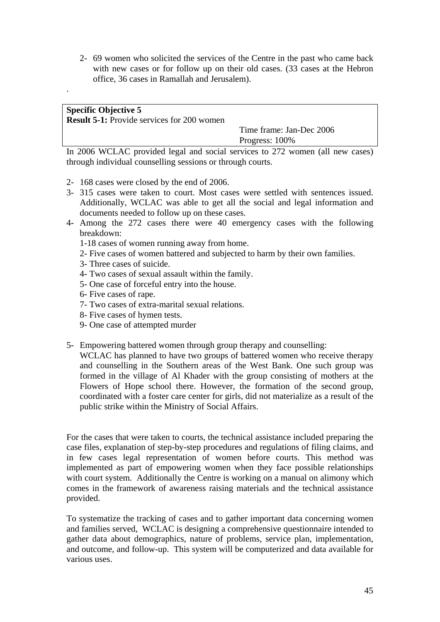2- 69 women who solicited the services of the Centre in the past who came back with new cases or for follow up on their old cases. (33 cases at the Hebron office, 36 cases in Ramallah and Jerusalem).

# **Specific Objective 5**

.

**Result 5-1:** Provide services for 200 women

 Time frame: Jan-Dec 2006 Progress: 100%

In 2006 WCLAC provided legal and social services to 272 women (all new cases) through individual counselling sessions or through courts.

- 2- 168 cases were closed by the end of 2006.
- 3- 315 cases were taken to court. Most cases were settled with sentences issued. Additionally, WCLAC was able to get all the social and legal information and documents needed to follow up on these cases.
- 4- Among the 272 cases there were 40 emergency cases with the following breakdown:
	- 1-18 cases of women running away from home.
	- 2- Five cases of women battered and subjected to harm by their own families.
	- 3- Three cases of suicide.
	- 4- Two cases of sexual assault within the family.
	- 5- One case of forceful entry into the house.
	- 6- Five cases of rape.
	- 7- Two cases of extra-marital sexual relations.
	- 8- Five cases of hymen tests.
	- 9- One case of attempted murder
- 5- Empowering battered women through group therapy and counselling:

WCLAC has planned to have two groups of battered women who receive therapy and counselling in the Southern areas of the West Bank. One such group was formed in the village of Al Khader with the group consisting of mothers at the Flowers of Hope school there. However, the formation of the second group, coordinated with a foster care center for girls, did not materialize as a result of the public strike within the Ministry of Social Affairs.

For the cases that were taken to courts, the technical assistance included preparing the case files, explanation of step-by-step procedures and regulations of filing claims, and in few cases legal representation of women before courts. This method was implemented as part of empowering women when they face possible relationships with court system. Additionally the Centre is working on a manual on alimony which comes in the framework of awareness raising materials and the technical assistance provided.

To systematize the tracking of cases and to gather important data concerning women and families served, WCLAC is designing a comprehensive questionnaire intended to gather data about demographics, nature of problems, service plan, implementation, and outcome, and follow-up. This system will be computerized and data available for various uses.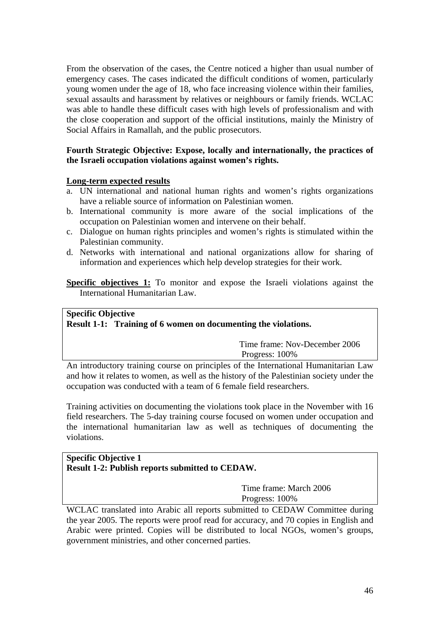From the observation of the cases, the Centre noticed a higher than usual number of emergency cases. The cases indicated the difficult conditions of women, particularly young women under the age of 18, who face increasing violence within their families, sexual assaults and harassment by relatives or neighbours or family friends. WCLAC was able to handle these difficult cases with high levels of professionalism and with the close cooperation and support of the official institutions, mainly the Ministry of Social Affairs in Ramallah, and the public prosecutors.

# **Fourth Strategic Objective: Expose, locally and internationally, the practices of the Israeli occupation violations against women's rights.**

# **Long-term expected results**

- a. UN international and national human rights and women's rights organizations have a reliable source of information on Palestinian women.
- b. International community is more aware of the social implications of the occupation on Palestinian women and intervene on their behalf.
- c. Dialogue on human rights principles and women's rights is stimulated within the Palestinian community.
- d. Networks with international and national organizations allow for sharing of information and experiences which help develop strategies for their work.

**Specific objectives 1:** To monitor and expose the Israeli violations against the International Humanitarian Law.

# **Specific Objective Result 1-1: Training of 6 women on documenting the violations.**

 Time frame: Nov-December 2006 Progress: 100%

An introductory training course on principles of the International Humanitarian Law and how it relates to women, as well as the history of the Palestinian society under the occupation was conducted with a team of 6 female field researchers.

Training activities on documenting the violations took place in the November with 16 field researchers. The 5-day training course focused on women under occupation and the international humanitarian law as well as techniques of documenting the violations.

# **Specific Objective 1 Result 1-2: Publish reports submitted to CEDAW.**

 Time frame: March 2006 Progress: 100%

WCLAC translated into Arabic all reports submitted to CEDAW Committee during the year 2005. The reports were proof read for accuracy, and 70 copies in English and Arabic were printed. Copies will be distributed to local NGOs, women's groups, government ministries, and other concerned parties.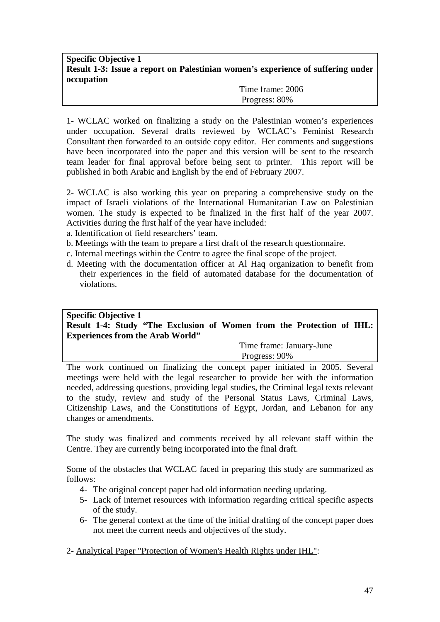# **Specific Objective 1 Result 1-3: Issue a report on Palestinian women's experience of suffering under occupation**

 Time frame: 2006 Progress: 80%

1- WCLAC worked on finalizing a study on the Palestinian women's experiences under occupation. Several drafts reviewed by WCLAC's Feminist Research Consultant then forwarded to an outside copy editor. Her comments and suggestions have been incorporated into the paper and this version will be sent to the research team leader for final approval before being sent to printer. This report will be published in both Arabic and English by the end of February 2007.

2- WCLAC is also working this year on preparing a comprehensive study on the impact of Israeli violations of the International Humanitarian Law on Palestinian women. The study is expected to be finalized in the first half of the year 2007. Activities during the first half of the year have included:

- a. Identification of field researchers' team.
- b. Meetings with the team to prepare a first draft of the research questionnaire.
- c. Internal meetings within the Centre to agree the final scope of the project.
- d. Meeting with the documentation officer at Al Haq organization to benefit from their experiences in the field of automated database for the documentation of violations.

# **Specific Objective 1 Result 1-4: Study "The Exclusion of Women from the Protection of IHL: Experiences from the Arab World"**

 Time frame: January-June Progress: 90%

The work continued on finalizing the concept paper initiated in 2005. Several meetings were held with the legal researcher to provide her with the information needed, addressing questions, providing legal studies, the Criminal legal texts relevant to the study, review and study of the Personal Status Laws, Criminal Laws, Citizenship Laws, and the Constitutions of Egypt, Jordan, and Lebanon for any changes or amendments.

The study was finalized and comments received by all relevant staff within the Centre. They are currently being incorporated into the final draft.

Some of the obstacles that WCLAC faced in preparing this study are summarized as follows:

- 4- The original concept paper had old information needing updating.
- 5- Lack of internet resources with information regarding critical specific aspects of the study.
- 6- The general context at the time of the initial drafting of the concept paper does not meet the current needs and objectives of the study.
- 2- Analytical Paper "Protection of Women's Health Rights under IHL":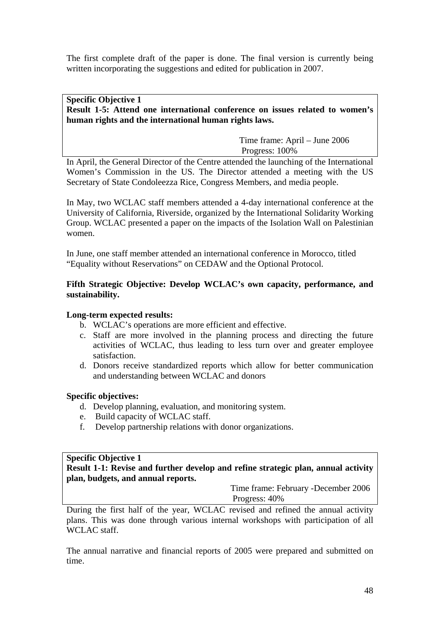The first complete draft of the paper is done. The final version is currently being written incorporating the suggestions and edited for publication in 2007.

# **Specific Objective 1 Result 1-5: Attend one international conference on issues related to women's human rights and the international human rights laws.**

 Time frame: April – June 2006 Progress: 100%

In April, the General Director of the Centre attended the launching of the International Women's Commission in the US. The Director attended a meeting with the US Secretary of State Condoleezza Rice, Congress Members, and media people.

In May, two WCLAC staff members attended a 4-day international conference at the University of California, Riverside, organized by the International Solidarity Working Group. WCLAC presented a paper on the impacts of the Isolation Wall on Palestinian women.

In June, one staff member attended an international conference in Morocco, titled "Equality without Reservations" on CEDAW and the Optional Protocol.

# **Fifth Strategic Objective: Develop WCLAC's own capacity, performance, and sustainability.**

# **Long-term expected results:**

- b. WCLAC's operations are more efficient and effective.
- c. Staff are more involved in the planning process and directing the future activities of WCLAC, thus leading to less turn over and greater employee satisfaction.
- d. Donors receive standardized reports which allow for better communication and understanding between WCLAC and donors

# **Specific objectives:**

- d. Develop planning, evaluation, and monitoring system.
- e. Build capacity of WCLAC staff.
- f. Develop partnership relations with donor organizations.

# **Specific Objective 1**

**Result 1-1: Revise and further develop and refine strategic plan, annual activity plan, budgets, and annual reports.** 

> Time frame: February -December 2006 Progress: 40%

During the first half of the year, WCLAC revised and refined the annual activity plans. This was done through various internal workshops with participation of all WCLAC staff.

The annual narrative and financial reports of 2005 were prepared and submitted on time.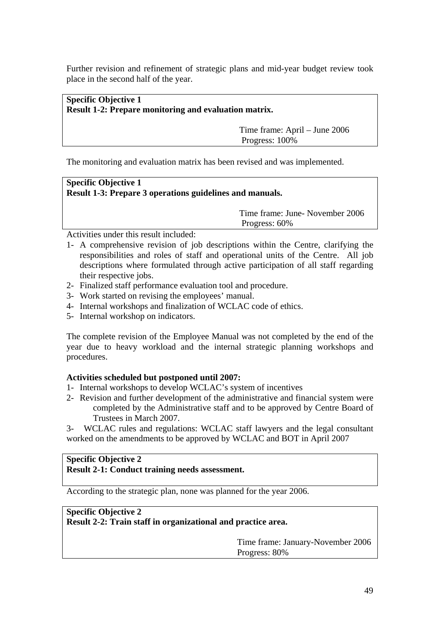Further revision and refinement of strategic plans and mid-year budget review took place in the second half of the year.

| <b>Specific Objective 1</b>                                  |  |
|--------------------------------------------------------------|--|
|                                                              |  |
|                                                              |  |
| <b>Result 1-2: Prepare monitoring and evaluation matrix.</b> |  |
|                                                              |  |
|                                                              |  |

 Time frame: April – June 2006 Progress: 100%

The monitoring and evaluation matrix has been revised and was implemented.

# **Specific Objective 1 Result 1-3: Prepare 3 operations guidelines and manuals.**

 Time frame: June- November 2006 Progress: 60%

Activities under this result included:

- 1- A comprehensive revision of job descriptions within the Centre, clarifying the responsibilities and roles of staff and operational units of the Centre. All job descriptions where formulated through active participation of all staff regarding their respective jobs.
- 2- Finalized staff performance evaluation tool and procedure.
- 3- Work started on revising the employees' manual.
- 4- Internal workshops and finalization of WCLAC code of ethics.
- 5- Internal workshop on indicators.

The complete revision of the Employee Manual was not completed by the end of the year due to heavy workload and the internal strategic planning workshops and procedures.

# **Activities scheduled but postponed until 2007:**

- 1- Internal workshops to develop WCLAC's system of incentives
- 2- Revision and further development of the administrative and financial system were completed by the Administrative staff and to be approved by Centre Board of Trustees in March 2007.

3- WCLAC rules and regulations: WCLAC staff lawyers and the legal consultant worked on the amendments to be approved by WCLAC and BOT in April 2007

# **Specific Objective 2**

# **Result 2-1: Conduct training needs assessment.**

According to the strategic plan, none was planned for the year 2006.

| <b>Specific Objective 2</b>                                  |  |
|--------------------------------------------------------------|--|
| Result 2-2: Train staff in organizational and practice area. |  |

 Time frame: January-November 2006 Progress: 80%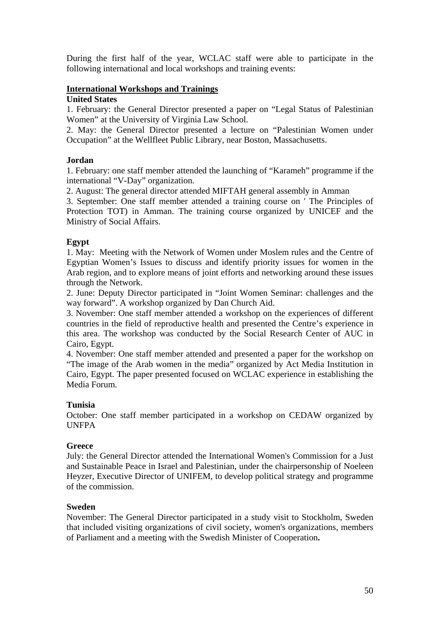During the first half of the year, WCLAC staff were able to participate in the following international and local workshops and training events:

# **International Workshops and Trainings**

#### **United States**

1. February: the General Director presented a paper on "Legal Status of Palestinian Women" at the University of Virginia Law School.

2. May: the General Director presented a lecture on "Palestinian Women under Occupation" at the Wellfleet Public Library, near Boston, Massachusetts.

# **Jordan**

1. February: one staff member attended the launching of "Karameh" programme if the international "V-Day" organization.

2. August: The general director attended MIFTAH general assembly in Amman

3. September: One staff member attended a training course on ' The Principles of Protection TOT) in Amman. The training course organized by UNICEF and the Ministry of Social Affairs.

# **Egypt**

1. May: Meeting with the Network of Women under Moslem rules and the Centre of Egyptian Women's Issues to discuss and identify priority issues for women in the Arab region, and to explore means of joint efforts and networking around these issues through the Network.

2. June: Deputy Director participated in "Joint Women Seminar: challenges and the way forward". A workshop organized by Dan Church Aid.

3. November: One staff member attended a workshop on the experiences of different countries in the field of reproductive health and presented the Centre's experience in this area. The workshop was conducted by the Social Research Center of AUC in Cairo, Egypt.

4. November: One staff member attended and presented a paper for the workshop on "The image of the Arab women in the media" organized by Act Media Institution in Cairo, Egypt. The paper presented focused on WCLAC experience in establishing the Media Forum.

# **Tunisia**

October: One staff member participated in a workshop on CEDAW organized by **UNFPA** 

# **Greece**

July: the General Director attended the International Women's Commission for a Just and Sustainable Peace in Israel and Palestinian, under the chairpersonship of Noeleen Heyzer, Executive Director of UNIFEM, to develop political strategy and programme of the commission.

# **Sweden**

November: The General Director participated in a study visit to Stockholm, Sweden that included visiting organizations of civil society, women's organizations, members of Parliament and a meeting with the Swedish Minister of Cooperation**.**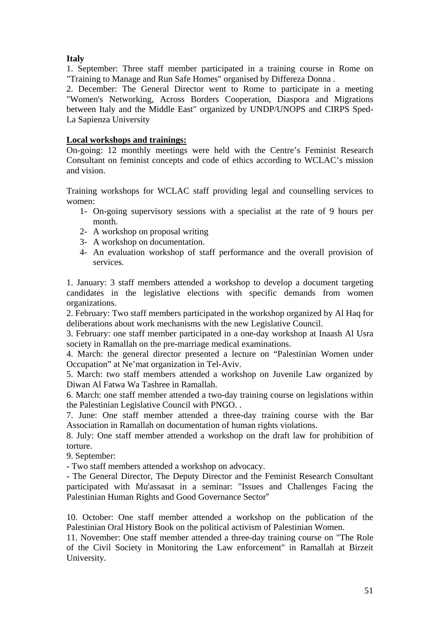# **Italy**

1. September: Three staff member participated in a training course in Rome on "Training to Manage and Run Safe Homes" organised by Differeza Donna .

2. December: The General Director went to Rome to participate in a meeting "Women's Networking, Across Borders Cooperation, Diaspora and Migrations between Italy and the Middle East" organized by UNDP/UNOPS and CIRPS Sped-La Sapienza University

# **Local workshops and trainings:**

On-going: 12 monthly meetings were held with the Centre's Feminist Research Consultant on feminist concepts and code of ethics according to WCLAC's mission and vision.

Training workshops for WCLAC staff providing legal and counselling services to women:

- 1- On-going supervisory sessions with a specialist at the rate of 9 hours per month.
- 2- A workshop on proposal writing
- 3- A workshop on documentation.
- 4- An evaluation workshop of staff performance and the overall provision of services.

1. January: 3 staff members attended a workshop to develop a document targeting candidates in the legislative elections with specific demands from women organizations.

2. February: Two staff members participated in the workshop organized by Al Haq for deliberations about work mechanisms with the new Legislative Council.

3. February: one staff member participated in a one-day workshop at Inaash Al Usra society in Ramallah on the pre-marriage medical examinations.

4. March: the general director presented a lecture on "Palestinian Women under Occupation" at Ne'mat organization in Tel-Aviv.

5. March: two staff members attended a workshop on Juvenile Law organized by Diwan Al Fatwa Wa Tashree in Ramallah.

6. March: one staff member attended a two-day training course on legislations within the Palestinian Legislative Council with PNGO. .

7. June: One staff member attended a three-day training course with the Bar Association in Ramallah on documentation of human rights violations.

8. July: One staff member attended a workshop on the draft law for prohibition of torture.

9. September:

- Two staff members attended a workshop on advocacy.

- The General Director, The Deputy Director and the Feminist Research Consultant participated with Mu'assasat in a seminar: "Issues and Challenges Facing the Palestinian Human Rights and Good Governance Sector"

10. October: One staff member attended a workshop on the publication of the Palestinian Oral History Book on the political activism of Palestinian Women.

11. November: One staff member attended a three-day training course on "The Role of the Civil Society in Monitoring the Law enforcement" in Ramallah at Birzeit University.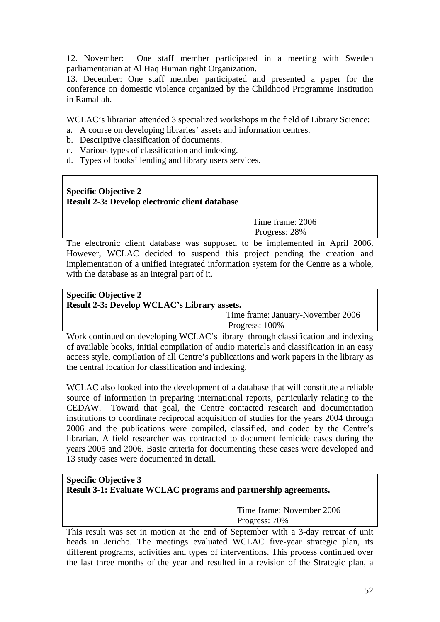12. November: One staff member participated in a meeting with Sweden parliamentarian at Al Haq Human right Organization.

13. December: One staff member participated and presented a paper for the conference on domestic violence organized by the Childhood Programme Institution in Ramallah.

WCLAC's librarian attended 3 specialized workshops in the field of Library Science:

- a. A course on developing libraries' assets and information centres.
- b. Descriptive classification of documents.
- c. Various types of classification and indexing.
- d. Types of books' lending and library users services.

# **Specific Objective 2 Result 2-3: Develop electronic client database**

 Time frame: 2006 Progress: 28%

The electronic client database was supposed to be implemented in April 2006. However, WCLAC decided to suspend this project pending the creation and implementation of a unified integrated information system for the Centre as a whole, with the database as an integral part of it.

# **Specific Objective 2 Result 2-3: Develop WCLAC's Library assets.**

 Time frame: January-November 2006 Progress: 100%

Work continued on developing WCLAC's library through classification and indexing of available books, initial compilation of audio materials and classification in an easy access style, compilation of all Centre's publications and work papers in the library as the central location for classification and indexing.

WCLAC also looked into the development of a database that will constitute a reliable source of information in preparing international reports, particularly relating to the CEDAW. Toward that goal, the Centre contacted research and documentation institutions to coordinate reciprocal acquisition of studies for the years 2004 through 2006 and the publications were compiled, classified, and coded by the Centre's librarian. A field researcher was contracted to document femicide cases during the years 2005 and 2006. Basic criteria for documenting these cases were developed and 13 study cases were documented in detail.

# **Specific Objective 3 Result 3-1: Evaluate WCLAC programs and partnership agreements.**

 Time frame: November 2006 Progress: 70%

This result was set in motion at the end of September with a 3-day retreat of unit heads in Jericho. The meetings evaluated WCLAC five-year strategic plan, its different programs, activities and types of interventions. This process continued over the last three months of the year and resulted in a revision of the Strategic plan, a